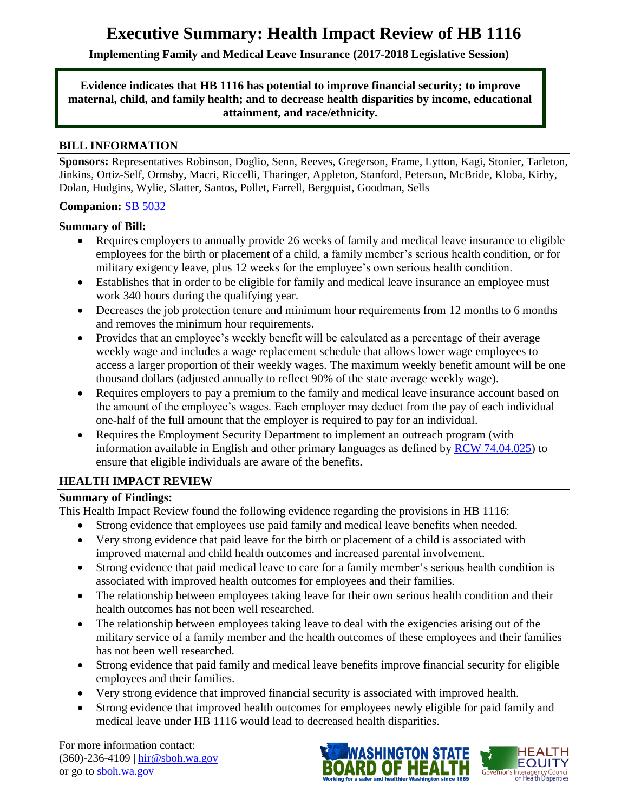# **Executive Summary: Health Impact Review of HB 1116**

**Implementing Family and Medical Leave Insurance (2017-2018 Legislative Session)**

#### **Evidence indicates that HB 1116 has potential to improve financial security; to improve maternal, child, and family health; and to decrease health disparities by income, educational attainment, and race/ethnicity.**

#### **BILL INFORMATION**

**Sponsors:** Representatives Robinson, Doglio, Senn, Reeves, Gregerson, Frame, Lytton, Kagi, Stonier, Tarleton, Jinkins, Ortiz-Self, Ormsby, Macri, Riccelli, Tharinger, Appleton, Stanford, Peterson, McBride, Kloba, Kirby, Dolan, Hudgins, Wylie, Slatter, Santos, Pollet, Farrell, Bergquist, Goodman, Sells

#### **Companion:** [SB 5032](http://app.leg.wa.gov/billsummary?BillNumber=5032&Chamber=Senate&Year=2017)

#### **Summary of Bill:**

- Requires employers to annually provide 26 weeks of family and medical leave insurance to eligible employees for the birth or placement of a child, a family member's serious health condition, or for military exigency leave, plus 12 weeks for the employee's own serious health condition.
- Establishes that in order to be eligible for family and medical leave insurance an employee must work 340 hours during the qualifying year.
- Decreases the job protection tenure and minimum hour requirements from 12 months to 6 months and removes the minimum hour requirements.
- Provides that an employee's weekly benefit will be calculated as a percentage of their average weekly wage and includes a wage replacement schedule that allows lower wage employees to access a larger proportion of their weekly wages. The maximum weekly benefit amount will be one thousand dollars (adjusted annually to reflect 90% of the state average weekly wage).
- Requires employers to pay a premium to the family and medical leave insurance account based on the amount of the employee's wages. Each employer may deduct from the pay of each individual one-half of the full amount that the employer is required to pay for an individual.
- Requires the Employment Security Department to implement an outreach program (with information available in English and other primary languages as defined by  $RCW$  74.04.025) to ensure that eligible individuals are aware of the benefits.

#### **HEALTH IMPACT REVIEW**

#### **Summary of Findings:**

This Health Impact Review found the following evidence regarding the provisions in HB 1116:

- Strong evidence that employees use paid family and medical leave benefits when needed.
- Very strong evidence that paid leave for the birth or placement of a child is associated with improved maternal and child health outcomes and increased parental involvement.
- Strong evidence that paid medical leave to care for a family member's serious health condition is associated with improved health outcomes for employees and their families.
- The relationship between employees taking leave for their own serious health condition and their health outcomes has not been well researched.
- The relationship between employees taking leave to deal with the exigencies arising out of the military service of a family member and the health outcomes of these employees and their families has not been well researched.
- Strong evidence that paid family and medical leave benefits improve financial security for eligible employees and their families.
- Very strong evidence that improved financial security is associated with improved health.
- Strong evidence that improved health outcomes for employees newly eligible for paid family and medical leave under HB 1116 would lead to decreased health disparities.

For more information contact: (360)-236-4109 | [hir@sboh.wa.gov](mailto:hir@sboh.wa.gov) or go to [sboh.wa.gov](http://sboh.wa.gov/)



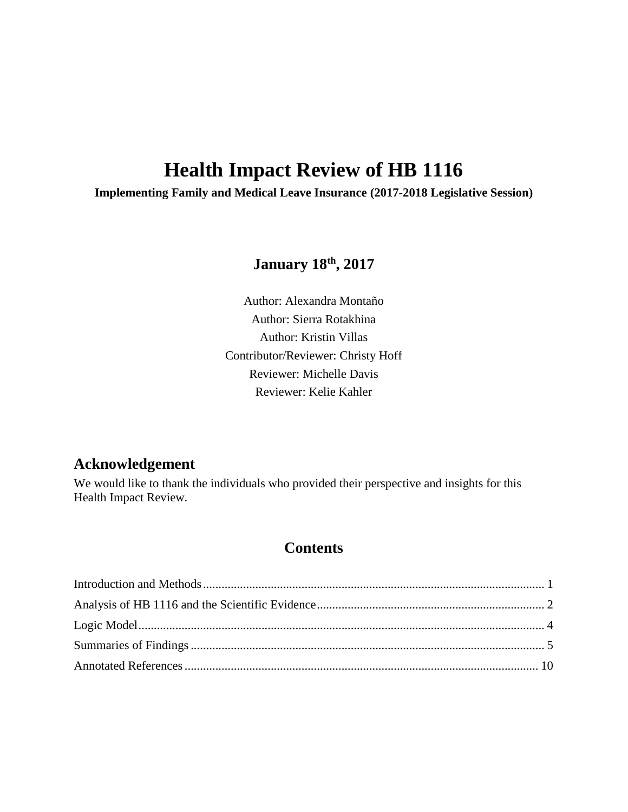# **Health Impact Review of HB 1116**

**Implementing Family and Medical Leave Insurance (2017-2018 Legislative Session)**

# **January 18th, 2017**

Author: Alexandra Montaño Author: Sierra Rotakhina Author: Kristin Villas Contributor/Reviewer: Christy Hoff Reviewer: Michelle Davis Reviewer: Kelie Kahler

# **Acknowledgement**

We would like to thank the individuals who provided their perspective and insights for this Health Impact Review.

# **Contents**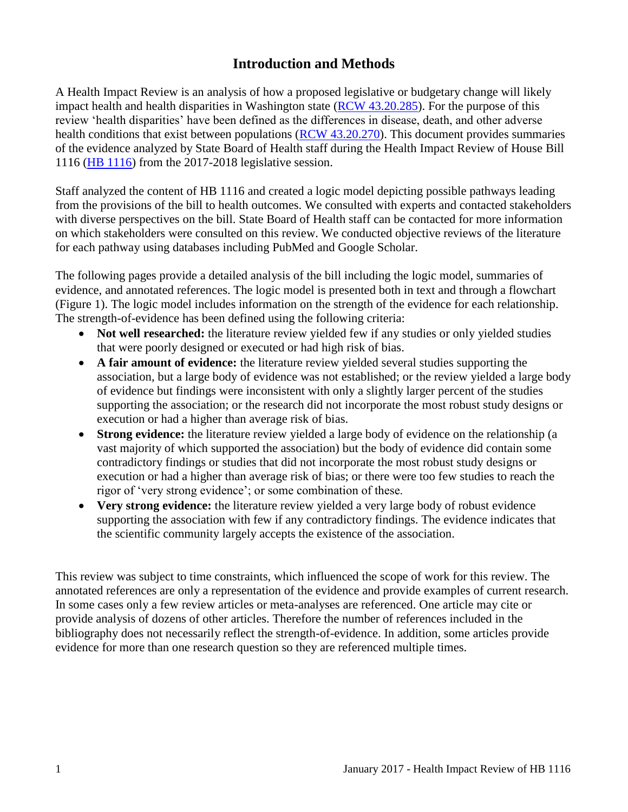# **Introduction and Methods**

<span id="page-2-0"></span>A Health Impact Review is an analysis of how a proposed legislative or budgetary change will likely impact health and health disparities in Washington state [\(RCW 43.20.285\)](http://apps.leg.wa.gov/rcw/default.aspx?cite=43.20.285). For the purpose of this review 'health disparities' have been defined as the differences in disease, death, and other adverse health conditions that exist between populations [\(RCW 43.20.270\)](http://apps.leg.wa.gov/rcw/default.aspx?cite=43.20.270). This document provides summaries of the evidence analyzed by State Board of Health staff during the Health Impact Review of House Bill 1116 [\(HB 1116\)](http://app.leg.wa.gov/billsummary?BillNumber=1116&Chamber=House&Year=2017) from the 2017-2018 legislative session.

Staff analyzed the content of HB 1116 and created a logic model depicting possible pathways leading from the provisions of the bill to health outcomes. We consulted with experts and contacted stakeholders with diverse perspectives on the bill. State Board of Health staff can be contacted for more information on which stakeholders were consulted on this review. We conducted objective reviews of the literature for each pathway using databases including PubMed and Google Scholar.

The following pages provide a detailed analysis of the bill including the logic model, summaries of evidence, and annotated references. The logic model is presented both in text and through a flowchart (Figure 1). The logic model includes information on the strength of the evidence for each relationship. The strength-of-evidence has been defined using the following criteria:

- Not well researched: the literature review yielded few if any studies or only yielded studies that were poorly designed or executed or had high risk of bias.
- **A fair amount of evidence:** the literature review yielded several studies supporting the association, but a large body of evidence was not established; or the review yielded a large body of evidence but findings were inconsistent with only a slightly larger percent of the studies supporting the association; or the research did not incorporate the most robust study designs or execution or had a higher than average risk of bias.
- **Strong evidence:** the literature review yielded a large body of evidence on the relationship (a vast majority of which supported the association) but the body of evidence did contain some contradictory findings or studies that did not incorporate the most robust study designs or execution or had a higher than average risk of bias; or there were too few studies to reach the rigor of 'very strong evidence'; or some combination of these.
- **Very strong evidence:** the literature review yielded a very large body of robust evidence supporting the association with few if any contradictory findings. The evidence indicates that the scientific community largely accepts the existence of the association.

This review was subject to time constraints, which influenced the scope of work for this review. The annotated references are only a representation of the evidence and provide examples of current research. In some cases only a few review articles or meta-analyses are referenced. One article may cite or provide analysis of dozens of other articles. Therefore the number of references included in the bibliography does not necessarily reflect the strength-of-evidence. In addition, some articles provide evidence for more than one research question so they are referenced multiple times.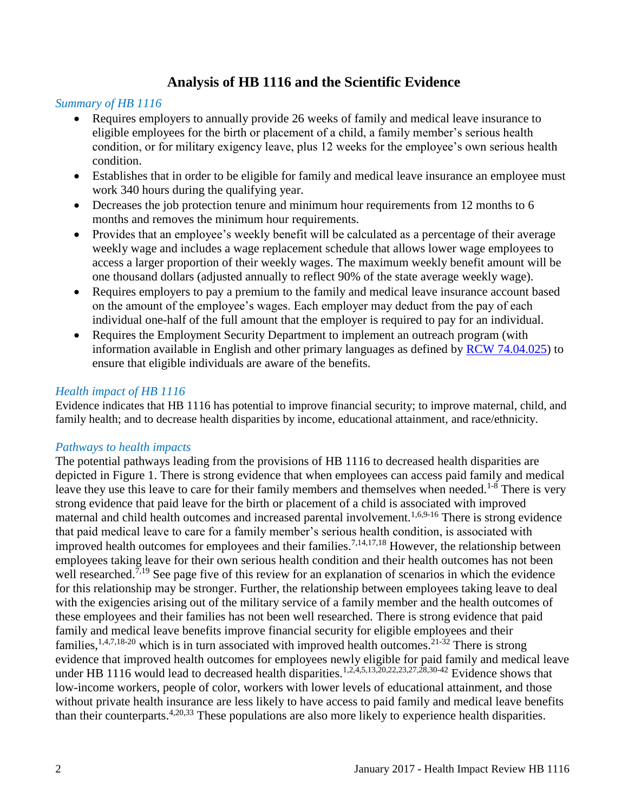## **Analysis of HB 1116 and the Scientific Evidence**

#### <span id="page-3-0"></span>*Summary of HB 1116*

- Requires employers to annually provide 26 weeks of family and medical leave insurance to eligible employees for the birth or placement of a child, a family member's serious health condition, or for military exigency leave, plus 12 weeks for the employee's own serious health condition.
- Establishes that in order to be eligible for family and medical leave insurance an employee must work 340 hours during the qualifying year.
- Decreases the job protection tenure and minimum hour requirements from 12 months to 6 months and removes the minimum hour requirements.
- Provides that an employee's weekly benefit will be calculated as a percentage of their average weekly wage and includes a wage replacement schedule that allows lower wage employees to access a larger proportion of their weekly wages. The maximum weekly benefit amount will be one thousand dollars (adjusted annually to reflect 90% of the state average weekly wage).
- Requires employers to pay a premium to the family and medical leave insurance account based on the amount of the employee's wages. Each employer may deduct from the pay of each individual one-half of the full amount that the employer is required to pay for an individual.
- Requires the Employment Security Department to implement an outreach program (with information available in English and other primary languages as defined by [RCW 74.04.025\)](http://app.leg.wa.gov/rcw/default.aspx?cite=74.04.025) to ensure that eligible individuals are aware of the benefits.

#### *Health impact of HB 1116*

Evidence indicates that HB 1116 has potential to improve financial security; to improve maternal, child, and family health; and to decrease health disparities by income, educational attainment, and race/ethnicity.

#### *Pathways to health impacts*

The potential pathways leading from the provisions of HB 1116 to decreased health disparities are depicted in Figure 1. There is strong evidence that when employees can access paid family and medical leave they use this leave to care for their family members and themselves when needed.<sup>[1-8](#page-11-1)</sup> There is very strong evidence that paid leave for the birth or placement of a child is associated with improved maternal and child health outcomes and increased parental involvement.[1,](#page-11-1)[6](#page-14-0)[,9-16](#page-16-0) There is strong evidence that paid medical leave to care for a family member's serious health condition, is associated with improved health outcomes for employees and their families.<sup>[7,](#page-15-0)[14,](#page-19-0)[17,](#page-20-0)[18](#page-21-0)</sup> However, the relationship between employees taking leave for their own serious health condition and their health outcomes has not been well researched.<sup>[7,](#page-15-0)[19](#page-21-1)</sup> See page five of this review for an explanation of scenarios in which the evidence for this relationship may be stronger. Further, the relationship between employees taking leave to deal with the exigencies arising out of the military service of a family member and the health outcomes of these employees and their families has not been well researched. There is strong evidence that paid family and medical leave benefits improve financial security for eligible employees and their families,  $1,4,7,18-20$  $1,4,7,18-20$  $1,4,7,18-20$  $1,4,7,18-20$  which is in turn associated with improved health outcomes.  $21-32$  There is strong evidence that improved health outcomes for employees newly eligible for paid family and medical leave under HB [1](#page-11-1)116 would lead to decreased health disparities.<sup>1[,2](#page-11-2)[,4](#page-12-0)[,5](#page-13-0)[,13](#page-18-0)[,20](#page-22-0)[,22](#page-23-1)[,23](#page-23-2)[,27](#page-24-0)[,28](#page-24-1)[,30-42](#page-25-0)</sup> Evidence shows that low-income workers, people of color, workers with lower levels of educational attainment, and those without private health insurance are less likely to have access to paid family and medical leave benefits than their counterparts.<sup>[4,](#page-12-0)[20](#page-22-0)[,33](#page-26-0)</sup> These populations are also more likely to experience health disparities.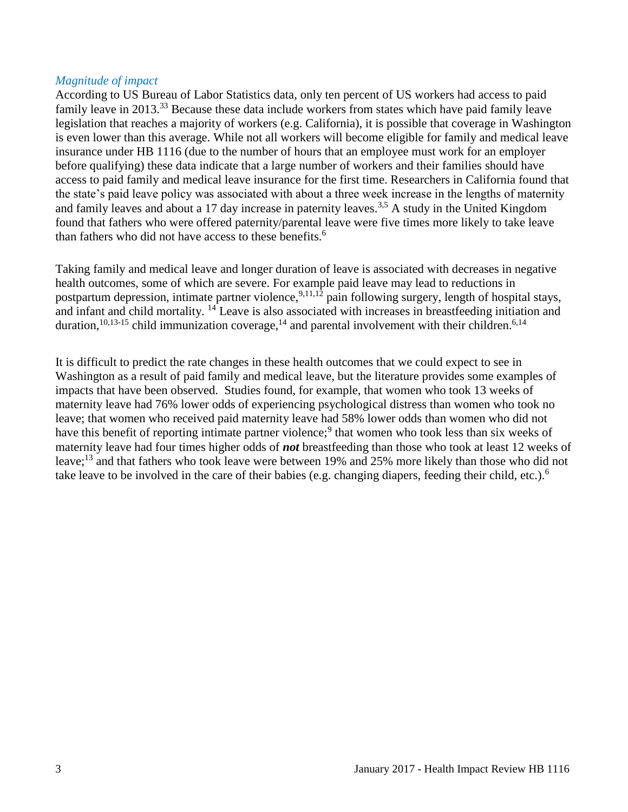#### *Magnitude of impact*

According to US Bureau of Labor Statistics data, only ten percent of US workers had access to paid family leave in 2013.<sup>[33](#page-26-0)</sup> Because these data include workers from states which have paid family leave legislation that reaches a majority of workers (e.g. California), it is possible that coverage in Washington is even lower than this average. While not all workers will become eligible for family and medical leave insurance under HB 1116 (due to the number of hours that an employee must work for an employer before qualifying) these data indicate that a large number of workers and their families should have access to paid family and medical leave insurance for the first time. Researchers in California found that the state's paid leave policy was associated with about a three week increase in the lengths of maternity and family leaves and about a 17 day increase in paternity leaves.<sup>[3,](#page-12-1)[5](#page-13-0)</sup> A study in the United Kingdom found that fathers who were offered paternity/parental leave were five times more likely to take leave than fathers who did not have access to these benefits.<sup>[6](#page-14-0)</sup>

Taking family and medical leave and longer duration of leave is associated with decreases in negative health outcomes, some of which are severe. For example paid leave may lead to reductions in postpartum depression, intimate partner violence,  $9,11,12$  $9,11,12$  $9,11,12$  pain following surgery, length of hospital stays, and infant and child mortality. [14](#page-19-0) Leave is also associated with increases in breastfeeding initiation and duration,<sup>[10](#page-16-1)[,13-15](#page-18-0)</sup> child immunization coverage,<sup>[14](#page-19-0)</sup> and parental involvement with their children.<sup>[6](#page-14-0)[,14](#page-19-0)</sup>

It is difficult to predict the rate changes in these health outcomes that we could expect to see in Washington as a result of paid family and medical leave, but the literature provides some examples of impacts that have been observed. Studies found, for example, that women who took 13 weeks of maternity leave had 76% lower odds of experiencing psychological distress than women who took no leave; that women who received paid maternity leave had 58% lower odds than women who did not have this benefit of reporting intimate partner violence;<sup>[9](#page-16-0)</sup> that women who took less than six weeks of maternity leave had four times higher odds of *not* breastfeeding than those who took at least 12 weeks of leave;[13](#page-18-0) and that fathers who took leave were between 19% and 25% more likely than those who did not take leave to be involved in the care of their babies (e.g. changing diapers, feeding their child, etc.).<sup>[6](#page-14-0)</sup>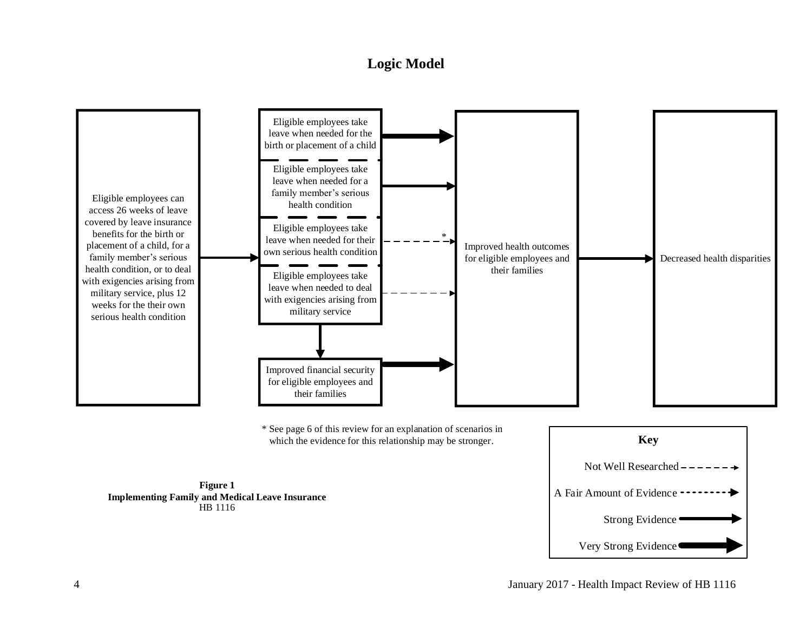## **Logic Model**

<span id="page-5-0"></span>

which the evidence for this relationship may be stronger. **Key** 



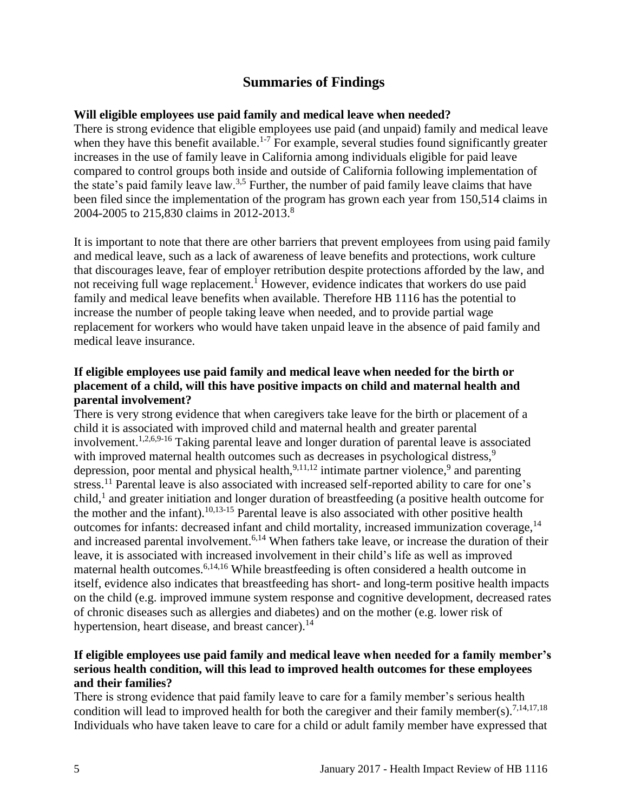## **Summaries of Findings**

#### <span id="page-6-0"></span>**Will eligible employees use paid family and medical leave when needed?**

There is strong evidence that eligible employees use paid (and unpaid) family and medical leave when they have this benefit available.<sup>[1-7](#page-11-1)</sup> For example, several studies found significantly greater increases in the use of family leave in California among individuals eligible for paid leave compared to control groups both inside and outside of California following implementation of the state's paid family leave law.<sup>[3,](#page-12-1)[5](#page-13-0)</sup> Further, the number of paid family leave claims that have been filed since the implementation of the program has grown each year from 150,514 claims in 2004-2005 to 215,830 claims in 2012-2013.[8](#page-15-1)

It is important to note that there are other barriers that prevent employees from using paid family and medical leave, such as a lack of awareness of leave benefits and protections, work culture that discourages leave, fear of employer retribution despite protections afforded by the law, and not receiving full wage replacement.<sup>[1](#page-11-1)</sup> However, evidence indicates that workers do use paid family and medical leave benefits when available. Therefore HB 1116 has the potential to increase the number of people taking leave when needed, and to provide partial wage replacement for workers who would have taken unpaid leave in the absence of paid family and medical leave insurance.

#### **If eligible employees use paid family and medical leave when needed for the birth or placement of a child, will this have positive impacts on child and maternal health and parental involvement?**

There is very strong evidence that when caregivers take leave for the birth or placement of a child it is associated with improved child and maternal health and greater parental involvement.<sup>[1](#page-11-1)[,2](#page-11-2)[,6](#page-14-0)[,9-16](#page-16-0)</sup> Taking parental leave and longer duration of parental leave is associated with improved maternal health outcomes such as decreases in psychological distress,<sup>[9](#page-16-0)</sup> depression, poor mental and physical health,  $9,11,12$  $9,11,12$  $9,11,12$  intimate partner violence,  $9$  and parenting stress.<sup>[11](#page-17-0)</sup> Parental leave is also associated with increased self-reported ability to care for one's child, [1](#page-11-1) and greater initiation and longer duration of breastfeeding (a positive health outcome for the mother and the infant).[10,](#page-16-1)[13-15](#page-18-0) Parental leave is also associated with other positive health outcomes for infants: decreased infant and child mortality, increased immunization coverage, <sup>[14](#page-19-0)</sup> and increased parental involvement.<sup>[6,](#page-14-0)[14](#page-19-0)</sup> When fathers take leave, or increase the duration of their leave, it is associated with increased involvement in their child's life as well as improved maternal health outcomes.[6,](#page-14-0)[14,](#page-19-0)[16](#page-20-1) While breastfeeding is often considered a health outcome in itself, evidence also indicates that breastfeeding has short- and long-term positive health impacts on the child (e.g. improved immune system response and cognitive development, decreased rates of chronic diseases such as allergies and diabetes) and on the mother (e.g. lower risk of hypertension, heart disease, and breast cancer).<sup>[14](#page-19-0)</sup>

#### **If eligible employees use paid family and medical leave when needed for a family member's serious health condition, will this lead to improved health outcomes for these employees and their families?**

There is strong evidence that paid family leave to care for a family member's serious health condition will lead to improved health for both the caregiver and their family member(s).<sup>[7,](#page-15-0)[14,](#page-19-0)[17,](#page-20-0)[18](#page-21-0)</sup> Individuals who have taken leave to care for a child or adult family member have expressed that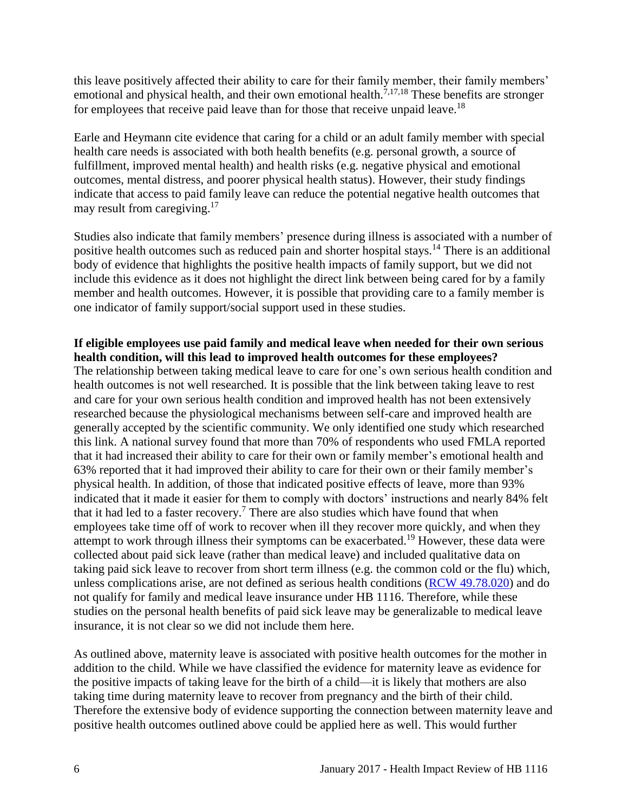this leave positively affected their ability to care for their family member, their family members' emotional and physical health, and their own emotional health.<sup>[7](#page-15-0)[,17](#page-20-0)[,18](#page-21-0)</sup> These benefits are stronger for employees that receive paid leave than for those that receive unpaid leave.<sup>[18](#page-21-0)</sup>

Earle and Heymann cite evidence that caring for a child or an adult family member with special health care needs is associated with both health benefits (e.g. personal growth, a source of fulfillment, improved mental health) and health risks (e.g. negative physical and emotional outcomes, mental distress, and poorer physical health status). However, their study findings indicate that access to paid family leave can reduce the potential negative health outcomes that may result from caregiving.<sup>[17](#page-20-0)</sup>

Studies also indicate that family members' presence during illness is associated with a number of positive health outcomes such as reduced pain and shorter hospital stays.<sup>[14](#page-19-0)</sup> There is an additional body of evidence that highlights the positive health impacts of family support, but we did not include this evidence as it does not highlight the direct link between being cared for by a family member and health outcomes. However, it is possible that providing care to a family member is one indicator of family support/social support used in these studies.

**If eligible employees use paid family and medical leave when needed for their own serious health condition, will this lead to improved health outcomes for these employees?** The relationship between taking medical leave to care for one's own serious health condition and health outcomes is not well researched. It is possible that the link between taking leave to rest and care for your own serious health condition and improved health has not been extensively researched because the physiological mechanisms between self-care and improved health are generally accepted by the scientific community. We only identified one study which researched this link. A national survey found that more than 70% of respondents who used FMLA reported that it had increased their ability to care for their own or family member's emotional health and 63% reported that it had improved their ability to care for their own or their family member's physical health. In addition, of those that indicated positive effects of leave, more than 93% indicated that it made it easier for them to comply with doctors' instructions and nearly 84% felt that it had led to a faster recovery.<sup>[7](#page-15-0)</sup> There are also studies which have found that when employees take time off of work to recover when ill they recover more quickly, and when they attempt to work through illness their symptoms can be exacerbated.<sup>[19](#page-21-1)</sup> However, these data were collected about paid sick leave (rather than medical leave) and included qualitative data on taking paid sick leave to recover from short term illness (e.g. the common cold or the flu) which, unless complications arise, are not defined as serious health conditions [\(RCW 49.78.020\)](http://apps.leg.wa.gov/rcw/default.aspx?cite=49.78.020) and do not qualify for family and medical leave insurance under HB 1116. Therefore, while these studies on the personal health benefits of paid sick leave may be generalizable to medical leave insurance, it is not clear so we did not include them here.

As outlined above, maternity leave is associated with positive health outcomes for the mother in addition to the child. While we have classified the evidence for maternity leave as evidence for the positive impacts of taking leave for the birth of a child—it is likely that mothers are also taking time during maternity leave to recover from pregnancy and the birth of their child. Therefore the extensive body of evidence supporting the connection between maternity leave and positive health outcomes outlined above could be applied here as well. This would further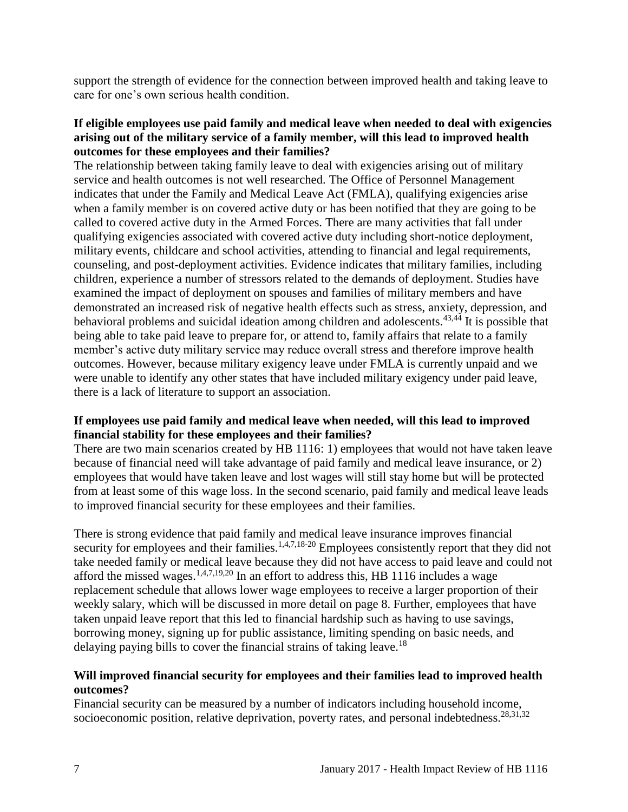support the strength of evidence for the connection between improved health and taking leave to care for one's own serious health condition.

#### **If eligible employees use paid family and medical leave when needed to deal with exigencies arising out of the military service of a family member, will this lead to improved health outcomes for these employees and their families?**

The relationship between taking family leave to deal with exigencies arising out of military service and health outcomes is not well researched. The Office of Personnel Management indicates that under the Family and Medical Leave Act (FMLA), qualifying exigencies arise when a family member is on covered active duty or has been notified that they are going to be called to covered active duty in the Armed Forces. There are many activities that fall under qualifying exigencies associated with covered active duty including short-notice deployment, military events, childcare and school activities, attending to financial and legal requirements, counseling, and post-deployment activities. Evidence indicates that military families, including children, experience a number of stressors related to the demands of deployment. Studies have examined the impact of deployment on spouses and families of military members and have demonstrated an increased risk of negative health effects such as stress, anxiety, depression, and behavioral problems and suicidal ideation among children and adolescents.<sup>[43](#page-28-0)[,44](#page-28-1)</sup> It is possible that being able to take paid leave to prepare for, or attend to, family affairs that relate to a family member's active duty military service may reduce overall stress and therefore improve health outcomes. However, because military exigency leave under FMLA is currently unpaid and we were unable to identify any other states that have included military exigency under paid leave, there is a lack of literature to support an association.

#### **If employees use paid family and medical leave when needed, will this lead to improved financial stability for these employees and their families?**

There are two main scenarios created by HB 1116: 1) employees that would not have taken leave because of financial need will take advantage of paid family and medical leave insurance, or 2) employees that would have taken leave and lost wages will still stay home but will be protected from at least some of this wage loss. In the second scenario, paid family and medical leave leads to improved financial security for these employees and their families.

There is strong evidence that paid family and medical leave insurance improves financial security for employees and their families.<sup>[1,](#page-11-1)[4,](#page-12-0)[7,](#page-15-0)[18-20](#page-21-0)</sup> Employees consistently report that they did not take needed family or medical leave because they did not have access to paid leave and could not afford the missed wages.<sup>[1,](#page-11-1)[4,](#page-12-0)[7,](#page-15-0)[19,](#page-21-1)[20](#page-22-0)</sup> In an effort to address this, HB 1116 includes a wage replacement schedule that allows lower wage employees to receive a larger proportion of their weekly salary, which will be discussed in more detail on page 8. Further, employees that have taken unpaid leave report that this led to financial hardship such as having to use savings, borrowing money, signing up for public assistance, limiting spending on basic needs, and delaying paying bills to cover the financial strains of taking leave.<sup>[18](#page-21-0)</sup>

#### **Will improved financial security for employees and their families lead to improved health outcomes?**

Financial security can be measured by a number of indicators including household income, socioeconomic position, relative deprivation, poverty rates, and personal indebtedness.<sup>[28,](#page-24-1)[31,](#page-25-1)[32](#page-25-2)</sup>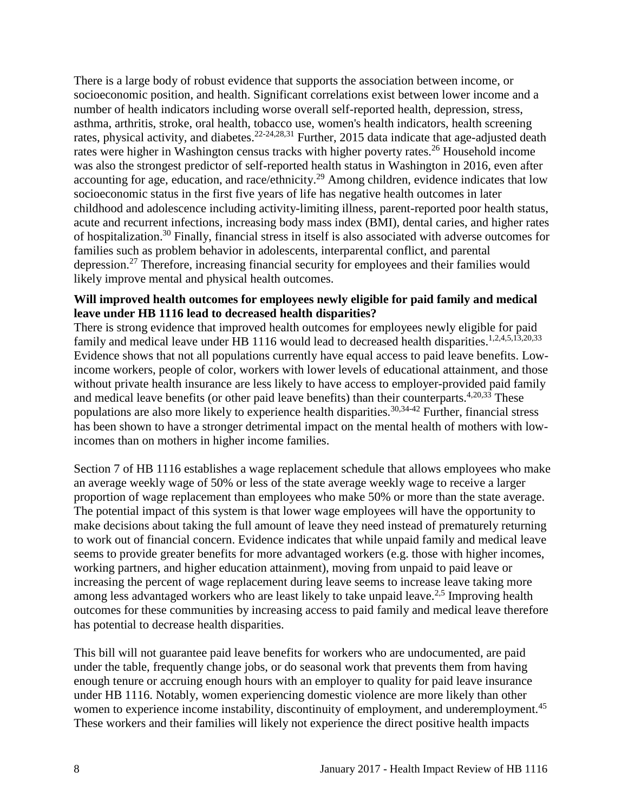There is a large body of robust evidence that supports the association between income, or socioeconomic position, and health. Significant correlations exist between lower income and a number of health indicators including worse overall self-reported health, depression, stress, asthma, arthritis, stroke, oral health, tobacco use, women's health indicators, health screening rates, physical activity, and diabetes.<sup>[22-24](#page-23-1)[,28](#page-24-1)[,31](#page-25-1)</sup> Further, 2015 data indicate that age-adjusted death rates were higher in Washington census tracks with higher poverty rates.<sup>[26](#page-24-2)</sup> Household income was also the strongest predictor of self-reported health status in Washington in 2016, even after accounting for age, education, and race/ethnicity.<sup>[29](#page-25-3)</sup> Among children, evidence indicates that low socioeconomic status in the first five years of life has negative health outcomes in later childhood and adolescence including activity-limiting illness, parent-reported poor health status, acute and recurrent infections, increasing body mass index (BMI), dental caries, and higher rates of hospitalization. [30](#page-25-0) Finally, financial stress in itself is also associated with adverse outcomes for families such as problem behavior in adolescents, interparental conflict, and parental depression.[27](#page-24-0) Therefore, increasing financial security for employees and their families would likely improve mental and physical health outcomes.

#### **Will improved health outcomes for employees newly eligible for paid family and medical leave under HB 1116 lead to decreased health disparities?**

There is strong evidence that improved health outcomes for employees newly eligible for paid family and medical leave under HB [1](#page-11-1)116 would lead to decreased health disparities.<sup>1[,2](#page-11-2)[,4](#page-12-0)[,5](#page-13-0)[,13](#page-18-0)[,20](#page-22-0)[,33](#page-26-0)</sup> Evidence shows that not all populations currently have equal access to paid leave benefits. Lowincome workers, people of color, workers with lower levels of educational attainment, and those without private health insurance are less likely to have access to employer-provided paid family and medical leave benefits (or other paid leave benefits) than their counterparts.<sup>[4](#page-12-0)[,20](#page-22-0)[,33](#page-26-0)</sup> These populations are also more likely to experience health disparities.<sup>[30](#page-25-0)[,34-42](#page-26-1)</sup> Further, financial stress has been shown to have a stronger detrimental impact on the mental health of mothers with lowincomes than on mothers in higher income families.

Section 7 of HB 1116 establishes a wage replacement schedule that allows employees who make an average weekly wage of 50% or less of the state average weekly wage to receive a larger proportion of wage replacement than employees who make 50% or more than the state average. The potential impact of this system is that lower wage employees will have the opportunity to make decisions about taking the full amount of leave they need instead of prematurely returning to work out of financial concern. Evidence indicates that while unpaid family and medical leave seems to provide greater benefits for more advantaged workers (e.g. those with higher incomes, working partners, and higher education attainment), moving from unpaid to paid leave or increasing the percent of wage replacement during leave seems to increase leave taking more among less advantaged workers who are least likely to take unpaid leave.<sup>[2,](#page-11-2)[5](#page-13-0)</sup> Improving health outcomes for these communities by increasing access to paid family and medical leave therefore has potential to decrease health disparities.

This bill will not guarantee paid leave benefits for workers who are undocumented, are paid under the table, frequently change jobs, or do seasonal work that prevents them from having enough tenure or accruing enough hours with an employer to quality for paid leave insurance under HB 1116. Notably, women experiencing domestic violence are more likely than other women to experience income instability, discontinuity of employment, and underemployment.<sup>[45](#page-29-0)</sup> These workers and their families will likely not experience the direct positive health impacts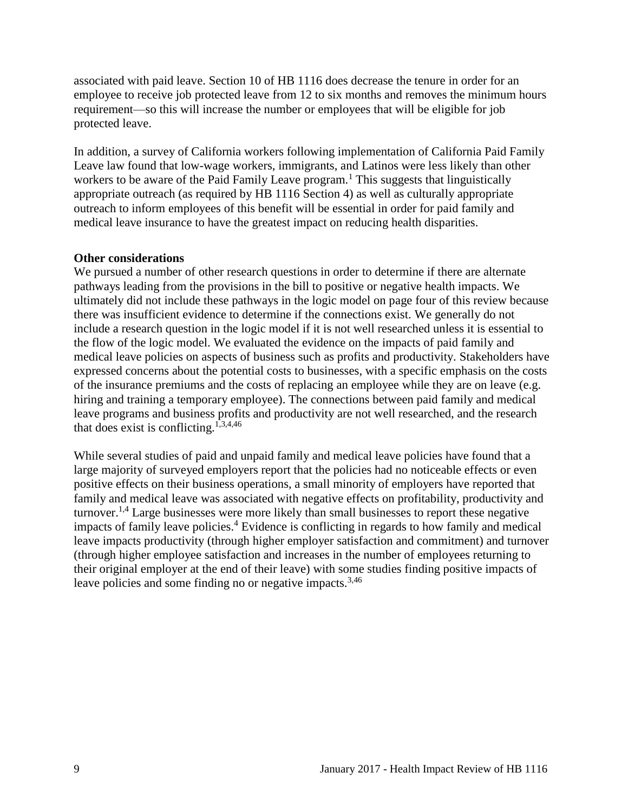associated with paid leave. Section 10 of HB 1116 does decrease the tenure in order for an employee to receive job protected leave from 12 to six months and removes the minimum hours requirement—so this will increase the number or employees that will be eligible for job protected leave.

In addition, a survey of California workers following implementation of California Paid Family Leave law found that low-wage workers, immigrants, and Latinos were less likely than other workers to be aware of the Paid Family Leave program.<sup>[1](#page-11-1)</sup> This suggests that linguistically appropriate outreach (as required by HB 1116 Section 4) as well as culturally appropriate outreach to inform employees of this benefit will be essential in order for paid family and medical leave insurance to have the greatest impact on reducing health disparities.

#### **Other considerations**

We pursued a number of other research questions in order to determine if there are alternate pathways leading from the provisions in the bill to positive or negative health impacts. We ultimately did not include these pathways in the logic model on page four of this review because there was insufficient evidence to determine if the connections exist. We generally do not include a research question in the logic model if it is not well researched unless it is essential to the flow of the logic model. We evaluated the evidence on the impacts of paid family and medical leave policies on aspects of business such as profits and productivity. Stakeholders have expressed concerns about the potential costs to businesses, with a specific emphasis on the costs of the insurance premiums and the costs of replacing an employee while they are on leave (e.g. hiring and training a temporary employee). The connections between paid family and medical leave programs and business profits and productivity are not well researched, and the research that does exist is conflicting.<sup>[1,](#page-11-1)[3,](#page-12-1)[4,](#page-12-0)[46](#page-29-1)</sup>

While several studies of paid and unpaid family and medical leave policies have found that a large majority of surveyed employers report that the policies had no noticeable effects or even positive effects on their business operations, a small minority of employers have reported that family and medical leave was associated with negative effects on profitability, productivity and turnover.<sup>[1,](#page-11-1)[4](#page-12-0)</sup> Large businesses were more likely than small businesses to report these negative impacts of family leave policies.<sup>[4](#page-12-0)</sup> Evidence is conflicting in regards to how family and medical leave impacts productivity (through higher employer satisfaction and commitment) and turnover (through higher employee satisfaction and increases in the number of employees returning to their original employer at the end of their leave) with some studies finding positive impacts of leave policies and some finding no or negative impacts.<sup>[3](#page-12-1)[,46](#page-29-1)</sup>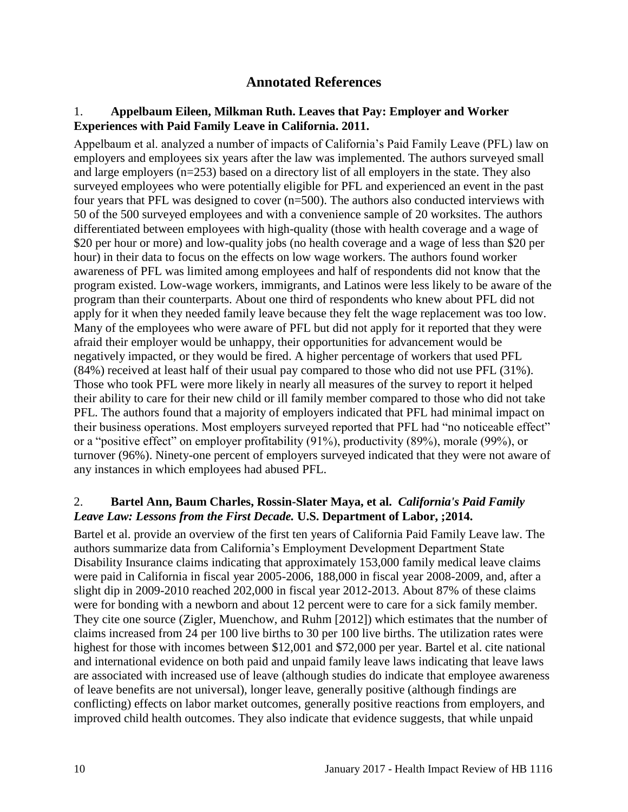## **Annotated References**

#### <span id="page-11-1"></span><span id="page-11-0"></span>1. **Appelbaum Eileen, Milkman Ruth. Leaves that Pay: Employer and Worker Experiences with Paid Family Leave in California. 2011.**

Appelbaum et al. analyzed a number of impacts of California's Paid Family Leave (PFL) law on employers and employees six years after the law was implemented. The authors surveyed small and large employers (n=253) based on a directory list of all employers in the state. They also surveyed employees who were potentially eligible for PFL and experienced an event in the past four years that PFL was designed to cover (n=500). The authors also conducted interviews with 50 of the 500 surveyed employees and with a convenience sample of 20 worksites. The authors differentiated between employees with high-quality (those with health coverage and a wage of \$20 per hour or more) and low-quality jobs (no health coverage and a wage of less than \$20 per hour) in their data to focus on the effects on low wage workers. The authors found worker awareness of PFL was limited among employees and half of respondents did not know that the program existed. Low-wage workers, immigrants, and Latinos were less likely to be aware of the program than their counterparts. About one third of respondents who knew about PFL did not apply for it when they needed family leave because they felt the wage replacement was too low. Many of the employees who were aware of PFL but did not apply for it reported that they were afraid their employer would be unhappy, their opportunities for advancement would be negatively impacted, or they would be fired. A higher percentage of workers that used PFL (84%) received at least half of their usual pay compared to those who did not use PFL (31%). Those who took PFL were more likely in nearly all measures of the survey to report it helped their ability to care for their new child or ill family member compared to those who did not take PFL. The authors found that a majority of employers indicated that PFL had minimal impact on their business operations. Most employers surveyed reported that PFL had "no noticeable effect" or a "positive effect" on employer profitability (91%), productivity (89%), morale (99%), or turnover (96%). Ninety-one percent of employers surveyed indicated that they were not aware of any instances in which employees had abused PFL.

#### <span id="page-11-2"></span>2. **Bartel Ann, Baum Charles, Rossin-Slater Maya, et al.** *California's Paid Family Leave Law: Lessons from the First Decade.* **U.S. Department of Labor, ;2014.**

Bartel et al. provide an overview of the first ten years of California Paid Family Leave law. The authors summarize data from California's Employment Development Department State Disability Insurance claims indicating that approximately 153,000 family medical leave claims were paid in California in fiscal year 2005-2006, 188,000 in fiscal year 2008-2009, and, after a slight dip in 2009-2010 reached 202,000 in fiscal year 2012-2013. About 87% of these claims were for bonding with a newborn and about 12 percent were to care for a sick family member. They cite one source (Zigler, Muenchow, and Ruhm [2012]) which estimates that the number of claims increased from 24 per 100 live births to 30 per 100 live births. The utilization rates were highest for those with incomes between \$12,001 and \$72,000 per year. Bartel et al. cite national and international evidence on both paid and unpaid family leave laws indicating that leave laws are associated with increased use of leave (although studies do indicate that employee awareness of leave benefits are not universal), longer leave, generally positive (although findings are conflicting) effects on labor market outcomes, generally positive reactions from employers, and improved child health outcomes. They also indicate that evidence suggests, that while unpaid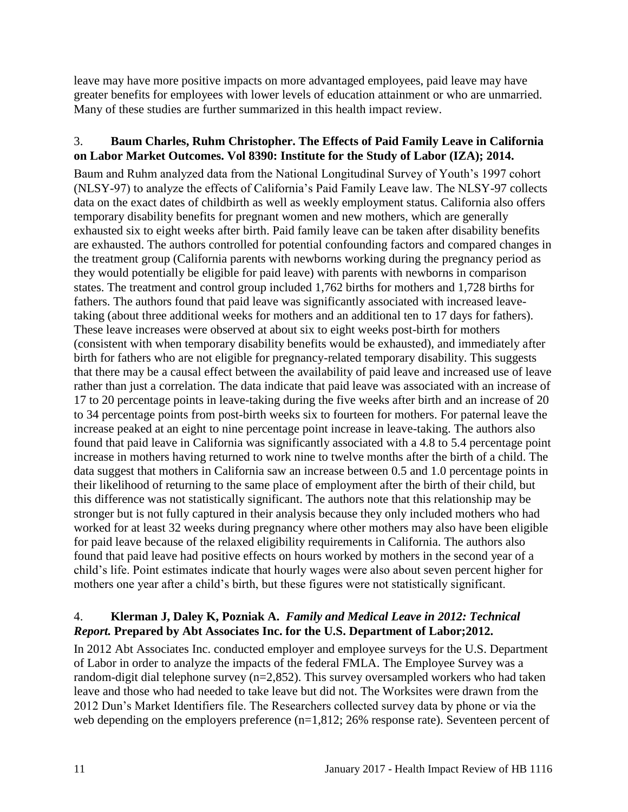leave may have more positive impacts on more advantaged employees, paid leave may have greater benefits for employees with lower levels of education attainment or who are unmarried. Many of these studies are further summarized in this health impact review.

#### <span id="page-12-1"></span>3. **Baum Charles, Ruhm Christopher. The Effects of Paid Family Leave in California on Labor Market Outcomes. Vol 8390: Institute for the Study of Labor (IZA); 2014.**

Baum and Ruhm analyzed data from the National Longitudinal Survey of Youth's 1997 cohort (NLSY-97) to analyze the effects of California's Paid Family Leave law. The NLSY-97 collects data on the exact dates of childbirth as well as weekly employment status. California also offers temporary disability benefits for pregnant women and new mothers, which are generally exhausted six to eight weeks after birth. Paid family leave can be taken after disability benefits are exhausted. The authors controlled for potential confounding factors and compared changes in the treatment group (California parents with newborns working during the pregnancy period as they would potentially be eligible for paid leave) with parents with newborns in comparison states. The treatment and control group included 1,762 births for mothers and 1,728 births for fathers. The authors found that paid leave was significantly associated with increased leavetaking (about three additional weeks for mothers and an additional ten to 17 days for fathers). These leave increases were observed at about six to eight weeks post-birth for mothers (consistent with when temporary disability benefits would be exhausted), and immediately after birth for fathers who are not eligible for pregnancy-related temporary disability. This suggests that there may be a causal effect between the availability of paid leave and increased use of leave rather than just a correlation. The data indicate that paid leave was associated with an increase of 17 to 20 percentage points in leave-taking during the five weeks after birth and an increase of 20 to 34 percentage points from post-birth weeks six to fourteen for mothers. For paternal leave the increase peaked at an eight to nine percentage point increase in leave-taking. The authors also found that paid leave in California was significantly associated with a 4.8 to 5.4 percentage point increase in mothers having returned to work nine to twelve months after the birth of a child. The data suggest that mothers in California saw an increase between 0.5 and 1.0 percentage points in their likelihood of returning to the same place of employment after the birth of their child, but this difference was not statistically significant. The authors note that this relationship may be stronger but is not fully captured in their analysis because they only included mothers who had worked for at least 32 weeks during pregnancy where other mothers may also have been eligible for paid leave because of the relaxed eligibility requirements in California. The authors also found that paid leave had positive effects on hours worked by mothers in the second year of a child's life. Point estimates indicate that hourly wages were also about seven percent higher for mothers one year after a child's birth, but these figures were not statistically significant.

## <span id="page-12-0"></span>4. **Klerman J, Daley K, Pozniak A.** *Family and Medical Leave in 2012: Technical Report.* **Prepared by Abt Associates Inc. for the U.S. Department of Labor;2012.**

In 2012 Abt Associates Inc. conducted employer and employee surveys for the U.S. Department of Labor in order to analyze the impacts of the federal FMLA. The Employee Survey was a random-digit dial telephone survey (n=2,852). This survey oversampled workers who had taken leave and those who had needed to take leave but did not. The Worksites were drawn from the 2012 Dun's Market Identifiers file. The Researchers collected survey data by phone or via the web depending on the employers preference (n=1,812; 26% response rate). Seventeen percent of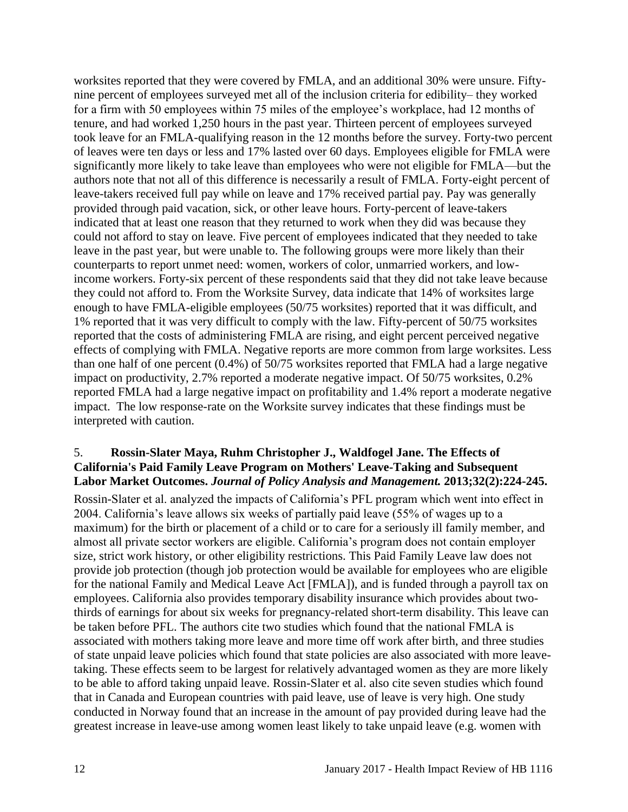worksites reported that they were covered by FMLA, and an additional 30% were unsure. Fiftynine percent of employees surveyed met all of the inclusion criteria for edibility– they worked for a firm with 50 employees within 75 miles of the employee's workplace, had 12 months of tenure, and had worked 1,250 hours in the past year. Thirteen percent of employees surveyed took leave for an FMLA-qualifying reason in the 12 months before the survey. Forty-two percent of leaves were ten days or less and 17% lasted over 60 days. Employees eligible for FMLA were significantly more likely to take leave than employees who were not eligible for FMLA—but the authors note that not all of this difference is necessarily a result of FMLA. Forty-eight percent of leave-takers received full pay while on leave and 17% received partial pay. Pay was generally provided through paid vacation, sick, or other leave hours. Forty-percent of leave-takers indicated that at least one reason that they returned to work when they did was because they could not afford to stay on leave. Five percent of employees indicated that they needed to take leave in the past year, but were unable to. The following groups were more likely than their counterparts to report unmet need: women, workers of color, unmarried workers, and lowincome workers. Forty-six percent of these respondents said that they did not take leave because they could not afford to. From the Worksite Survey, data indicate that 14% of worksites large enough to have FMLA-eligible employees (50/75 worksites) reported that it was difficult, and 1% reported that it was very difficult to comply with the law. Fifty-percent of 50/75 worksites reported that the costs of administering FMLA are rising, and eight percent perceived negative effects of complying with FMLA. Negative reports are more common from large worksites. Less than one half of one percent (0.4%) of 50/75 worksites reported that FMLA had a large negative impact on productivity, 2.7% reported a moderate negative impact. Of 50/75 worksites, 0.2% reported FMLA had a large negative impact on profitability and 1.4% report a moderate negative impact. The low response-rate on the Worksite survey indicates that these findings must be interpreted with caution.

#### <span id="page-13-0"></span>5. **Rossin-Slater Maya, Ruhm Christopher J., Waldfogel Jane. The Effects of California's Paid Family Leave Program on Mothers' Leave-Taking and Subsequent Labor Market Outcomes.** *Journal of Policy Analysis and Management.* **2013;32(2):224-245.**

Rossin-Slater et al. analyzed the impacts of California's PFL program which went into effect in 2004. California's leave allows six weeks of partially paid leave (55% of wages up to a maximum) for the birth or placement of a child or to care for a seriously ill family member, and almost all private sector workers are eligible. California's program does not contain employer size, strict work history, or other eligibility restrictions. This Paid Family Leave law does not provide job protection (though job protection would be available for employees who are eligible for the national Family and Medical Leave Act [FMLA]), and is funded through a payroll tax on employees. California also provides temporary disability insurance which provides about twothirds of earnings for about six weeks for pregnancy-related short-term disability. This leave can be taken before PFL. The authors cite two studies which found that the national FMLA is associated with mothers taking more leave and more time off work after birth, and three studies of state unpaid leave policies which found that state policies are also associated with more leavetaking. These effects seem to be largest for relatively advantaged women as they are more likely to be able to afford taking unpaid leave. Rossin-Slater et al. also cite seven studies which found that in Canada and European countries with paid leave, use of leave is very high. One study conducted in Norway found that an increase in the amount of pay provided during leave had the greatest increase in leave-use among women least likely to take unpaid leave (e.g. women with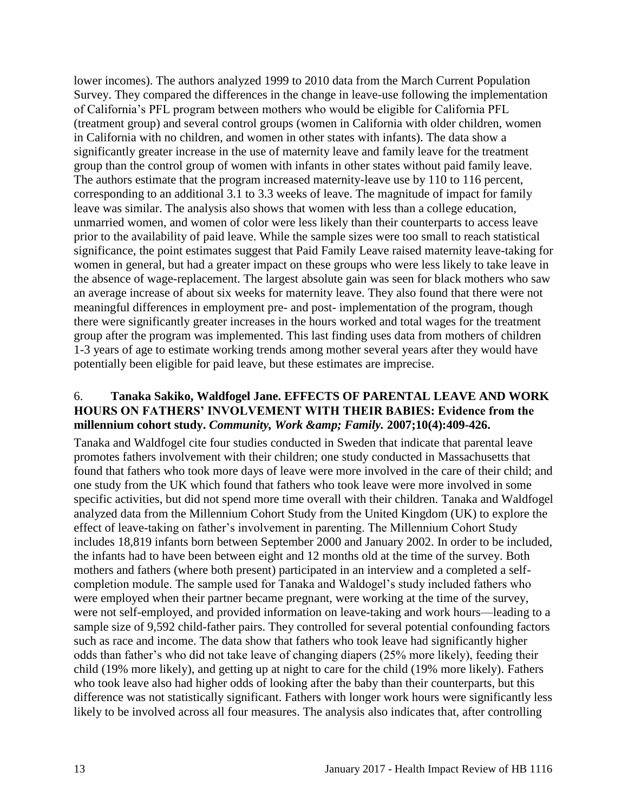lower incomes). The authors analyzed 1999 to 2010 data from the March Current Population Survey. They compared the differences in the change in leave-use following the implementation of California's PFL program between mothers who would be eligible for California PFL (treatment group) and several control groups (women in California with older children, women in California with no children, and women in other states with infants). The data show a significantly greater increase in the use of maternity leave and family leave for the treatment group than the control group of women with infants in other states without paid family leave. The authors estimate that the program increased maternity-leave use by 110 to 116 percent, corresponding to an additional 3.1 to 3.3 weeks of leave. The magnitude of impact for family leave was similar. The analysis also shows that women with less than a college education, unmarried women, and women of color were less likely than their counterparts to access leave prior to the availability of paid leave. While the sample sizes were too small to reach statistical significance, the point estimates suggest that Paid Family Leave raised maternity leave-taking for women in general, but had a greater impact on these groups who were less likely to take leave in the absence of wage-replacement. The largest absolute gain was seen for black mothers who saw an average increase of about six weeks for maternity leave. They also found that there were not meaningful differences in employment pre- and post- implementation of the program, though there were significantly greater increases in the hours worked and total wages for the treatment group after the program was implemented. This last finding uses data from mothers of children 1-3 years of age to estimate working trends among mother several years after they would have potentially been eligible for paid leave, but these estimates are imprecise.

#### <span id="page-14-0"></span>6. **Tanaka Sakiko, Waldfogel Jane. EFFECTS OF PARENTAL LEAVE AND WORK HOURS ON FATHERS' INVOLVEMENT WITH THEIR BABIES: Evidence from the millennium cohort study.** *Community, Work & amp; Family.* **2007;10(4):409-426.**

Tanaka and Waldfogel cite four studies conducted in Sweden that indicate that parental leave promotes fathers involvement with their children; one study conducted in Massachusetts that found that fathers who took more days of leave were more involved in the care of their child; and one study from the UK which found that fathers who took leave were more involved in some specific activities, but did not spend more time overall with their children. Tanaka and Waldfogel analyzed data from the Millennium Cohort Study from the United Kingdom (UK) to explore the effect of leave-taking on father's involvement in parenting. The Millennium Cohort Study includes 18,819 infants born between September 2000 and January 2002. In order to be included, the infants had to have been between eight and 12 months old at the time of the survey. Both mothers and fathers (where both present) participated in an interview and a completed a selfcompletion module. The sample used for Tanaka and Waldogel's study included fathers who were employed when their partner became pregnant, were working at the time of the survey, were not self-employed, and provided information on leave-taking and work hours—leading to a sample size of 9,592 child-father pairs. They controlled for several potential confounding factors such as race and income. The data show that fathers who took leave had significantly higher odds than father's who did not take leave of changing diapers (25% more likely), feeding their child (19% more likely), and getting up at night to care for the child (19% more likely). Fathers who took leave also had higher odds of looking after the baby than their counterparts, but this difference was not statistically significant. Fathers with longer work hours were significantly less likely to be involved across all four measures. The analysis also indicates that, after controlling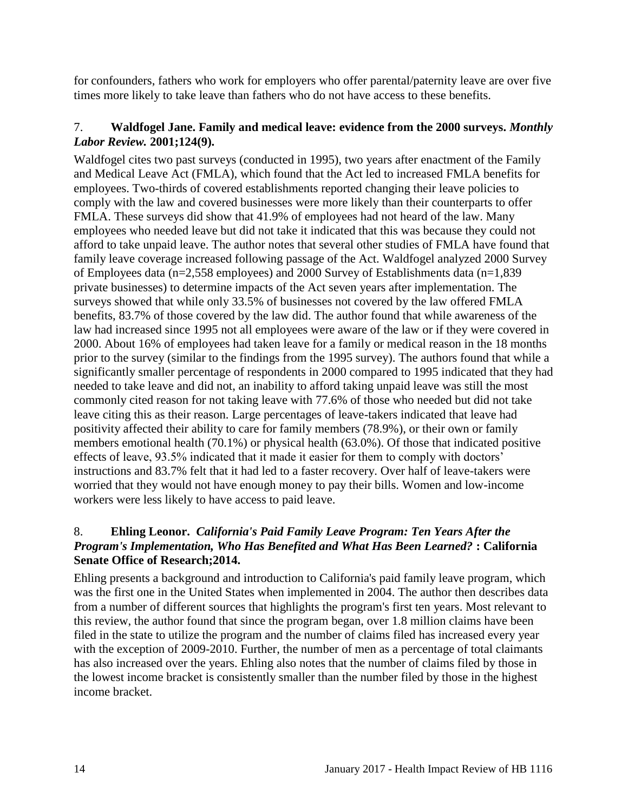for confounders, fathers who work for employers who offer parental/paternity leave are over five times more likely to take leave than fathers who do not have access to these benefits.

#### <span id="page-15-0"></span>7. **Waldfogel Jane. Family and medical leave: evidence from the 2000 surveys.** *Monthly Labor Review.* **2001;124(9).**

Waldfogel cites two past surveys (conducted in 1995), two years after enactment of the Family and Medical Leave Act (FMLA), which found that the Act led to increased FMLA benefits for employees. Two-thirds of covered establishments reported changing their leave policies to comply with the law and covered businesses were more likely than their counterparts to offer FMLA. These surveys did show that 41.9% of employees had not heard of the law. Many employees who needed leave but did not take it indicated that this was because they could not afford to take unpaid leave. The author notes that several other studies of FMLA have found that family leave coverage increased following passage of the Act. Waldfogel analyzed 2000 Survey of Employees data (n=2,558 employees) and 2000 Survey of Establishments data (n=1,839 private businesses) to determine impacts of the Act seven years after implementation. The surveys showed that while only 33.5% of businesses not covered by the law offered FMLA benefits, 83.7% of those covered by the law did. The author found that while awareness of the law had increased since 1995 not all employees were aware of the law or if they were covered in 2000. About 16% of employees had taken leave for a family or medical reason in the 18 months prior to the survey (similar to the findings from the 1995 survey). The authors found that while a significantly smaller percentage of respondents in 2000 compared to 1995 indicated that they had needed to take leave and did not, an inability to afford taking unpaid leave was still the most commonly cited reason for not taking leave with 77.6% of those who needed but did not take leave citing this as their reason. Large percentages of leave-takers indicated that leave had positivity affected their ability to care for family members (78.9%), or their own or family members emotional health (70.1%) or physical health (63.0%). Of those that indicated positive effects of leave, 93.5% indicated that it made it easier for them to comply with doctors' instructions and 83.7% felt that it had led to a faster recovery. Over half of leave-takers were worried that they would not have enough money to pay their bills. Women and low-income workers were less likely to have access to paid leave.

## <span id="page-15-1"></span>8. **Ehling Leonor.** *California's Paid Family Leave Program: Ten Years After the Program's Implementation, Who Has Benefited and What Has Been Learned?* **: California Senate Office of Research;2014.**

Ehling presents a background and introduction to California's paid family leave program, which was the first one in the United States when implemented in 2004. The author then describes data from a number of different sources that highlights the program's first ten years. Most relevant to this review, the author found that since the program began, over 1.8 million claims have been filed in the state to utilize the program and the number of claims filed has increased every year with the exception of 2009-2010. Further, the number of men as a percentage of total claimants has also increased over the years. Ehling also notes that the number of claims filed by those in the lowest income bracket is consistently smaller than the number filed by those in the highest income bracket.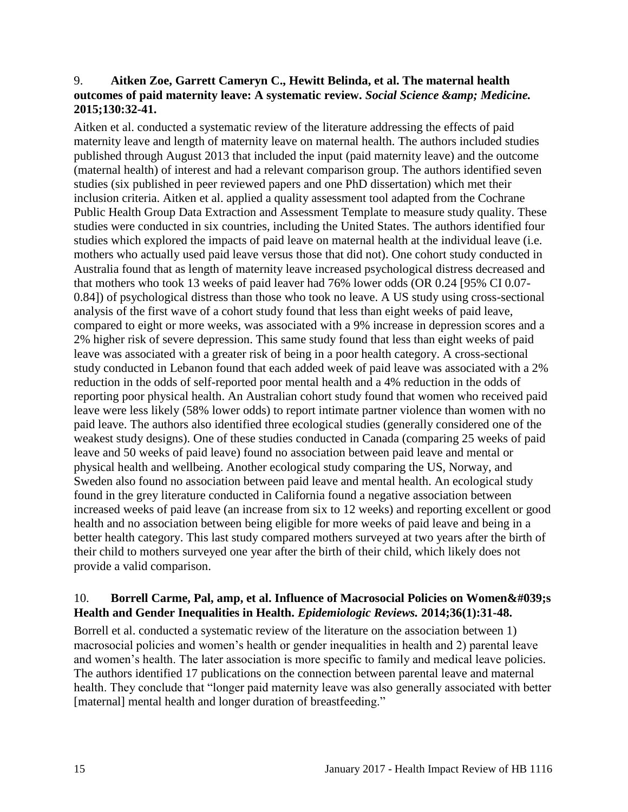#### <span id="page-16-0"></span>9. **Aitken Zoe, Garrett Cameryn C., Hewitt Belinda, et al. The maternal health outcomes of paid maternity leave: A systematic review. Social Science & amp; Medicine. 2015;130:32-41.**

Aitken et al. conducted a systematic review of the literature addressing the effects of paid maternity leave and length of maternity leave on maternal health. The authors included studies published through August 2013 that included the input (paid maternity leave) and the outcome (maternal health) of interest and had a relevant comparison group. The authors identified seven studies (six published in peer reviewed papers and one PhD dissertation) which met their inclusion criteria. Aitken et al. applied a quality assessment tool adapted from the Cochrane Public Health Group Data Extraction and Assessment Template to measure study quality. These studies were conducted in six countries, including the United States. The authors identified four studies which explored the impacts of paid leave on maternal health at the individual leave (i.e. mothers who actually used paid leave versus those that did not). One cohort study conducted in Australia found that as length of maternity leave increased psychological distress decreased and that mothers who took 13 weeks of paid leaver had 76% lower odds (OR 0.24 [95% CI 0.07- 0.84]) of psychological distress than those who took no leave. A US study using cross-sectional analysis of the first wave of a cohort study found that less than eight weeks of paid leave, compared to eight or more weeks, was associated with a 9% increase in depression scores and a 2% higher risk of severe depression. This same study found that less than eight weeks of paid leave was associated with a greater risk of being in a poor health category. A cross-sectional study conducted in Lebanon found that each added week of paid leave was associated with a 2% reduction in the odds of self-reported poor mental health and a 4% reduction in the odds of reporting poor physical health. An Australian cohort study found that women who received paid leave were less likely (58% lower odds) to report intimate partner violence than women with no paid leave. The authors also identified three ecological studies (generally considered one of the weakest study designs). One of these studies conducted in Canada (comparing 25 weeks of paid leave and 50 weeks of paid leave) found no association between paid leave and mental or physical health and wellbeing. Another ecological study comparing the US, Norway, and Sweden also found no association between paid leave and mental health. An ecological study found in the grey literature conducted in California found a negative association between increased weeks of paid leave (an increase from six to 12 weeks) and reporting excellent or good health and no association between being eligible for more weeks of paid leave and being in a better health category. This last study compared mothers surveyed at two years after the birth of their child to mothers surveyed one year after the birth of their child, which likely does not provide a valid comparison.

#### <span id="page-16-1"></span>10. **Borrell Carme, Pal, amp, et al. Influence of Macrosocial Policies on Women &#039:s Health and Gender Inequalities in Health.** *Epidemiologic Reviews.* **2014;36(1):31-48.**

Borrell et al. conducted a systematic review of the literature on the association between 1) macrosocial policies and women's health or gender inequalities in health and 2) parental leave and women's health. The later association is more specific to family and medical leave policies. The authors identified 17 publications on the connection between parental leave and maternal health. They conclude that "longer paid maternity leave was also generally associated with better [maternal] mental health and longer duration of breastfeeding."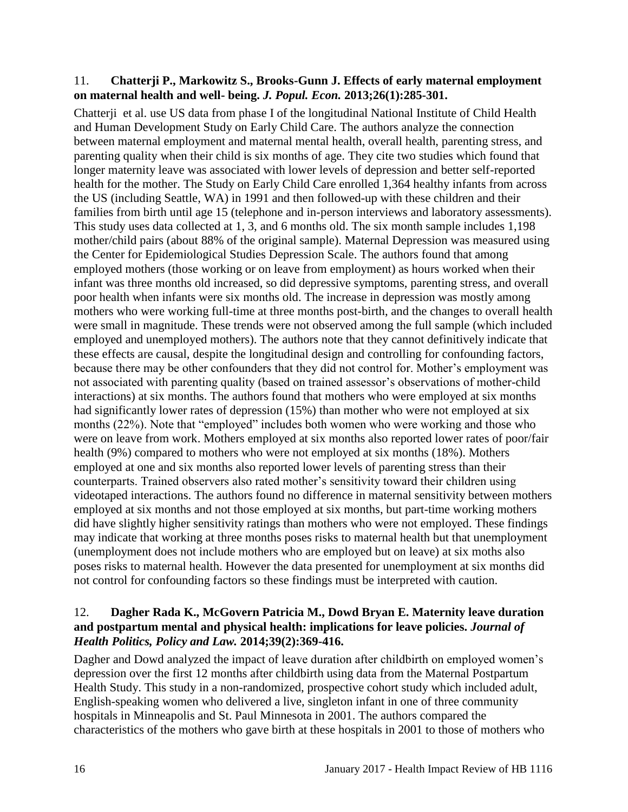#### <span id="page-17-0"></span>11. **Chatterji P., Markowitz S., Brooks-Gunn J. Effects of early maternal employment on maternal health and well- being.** *J. Popul. Econ.* **2013;26(1):285-301.**

Chatterji et al. use US data from phase I of the longitudinal National Institute of Child Health and Human Development Study on Early Child Care. The authors analyze the connection between maternal employment and maternal mental health, overall health, parenting stress, and parenting quality when their child is six months of age. They cite two studies which found that longer maternity leave was associated with lower levels of depression and better self-reported health for the mother. The Study on Early Child Care enrolled 1,364 healthy infants from across the US (including Seattle, WA) in 1991 and then followed-up with these children and their families from birth until age 15 (telephone and in-person interviews and laboratory assessments). This study uses data collected at 1, 3, and 6 months old. The six month sample includes 1,198 mother/child pairs (about 88% of the original sample). Maternal Depression was measured using the Center for Epidemiological Studies Depression Scale. The authors found that among employed mothers (those working or on leave from employment) as hours worked when their infant was three months old increased, so did depressive symptoms, parenting stress, and overall poor health when infants were six months old. The increase in depression was mostly among mothers who were working full-time at three months post-birth, and the changes to overall health were small in magnitude. These trends were not observed among the full sample (which included employed and unemployed mothers). The authors note that they cannot definitively indicate that these effects are causal, despite the longitudinal design and controlling for confounding factors, because there may be other confounders that they did not control for. Mother's employment was not associated with parenting quality (based on trained assessor's observations of mother-child interactions) at six months. The authors found that mothers who were employed at six months had significantly lower rates of depression (15%) than mother who were not employed at six months (22%). Note that "employed" includes both women who were working and those who were on leave from work. Mothers employed at six months also reported lower rates of poor/fair health (9%) compared to mothers who were not employed at six months (18%). Mothers employed at one and six months also reported lower levels of parenting stress than their counterparts. Trained observers also rated mother's sensitivity toward their children using videotaped interactions. The authors found no difference in maternal sensitivity between mothers employed at six months and not those employed at six months, but part-time working mothers did have slightly higher sensitivity ratings than mothers who were not employed. These findings may indicate that working at three months poses risks to maternal health but that unemployment (unemployment does not include mothers who are employed but on leave) at six moths also poses risks to maternal health. However the data presented for unemployment at six months did not control for confounding factors so these findings must be interpreted with caution.

#### <span id="page-17-1"></span>12. **Dagher Rada K., McGovern Patricia M., Dowd Bryan E. Maternity leave duration and postpartum mental and physical health: implications for leave policies.** *Journal of Health Politics, Policy and Law.* **2014;39(2):369-416.**

Dagher and Dowd analyzed the impact of leave duration after childbirth on employed women's depression over the first 12 months after childbirth using data from the Maternal Postpartum Health Study. This study in a non-randomized, prospective cohort study which included adult, English-speaking women who delivered a live, singleton infant in one of three community hospitals in Minneapolis and St. Paul Minnesota in 2001. The authors compared the characteristics of the mothers who gave birth at these hospitals in 2001 to those of mothers who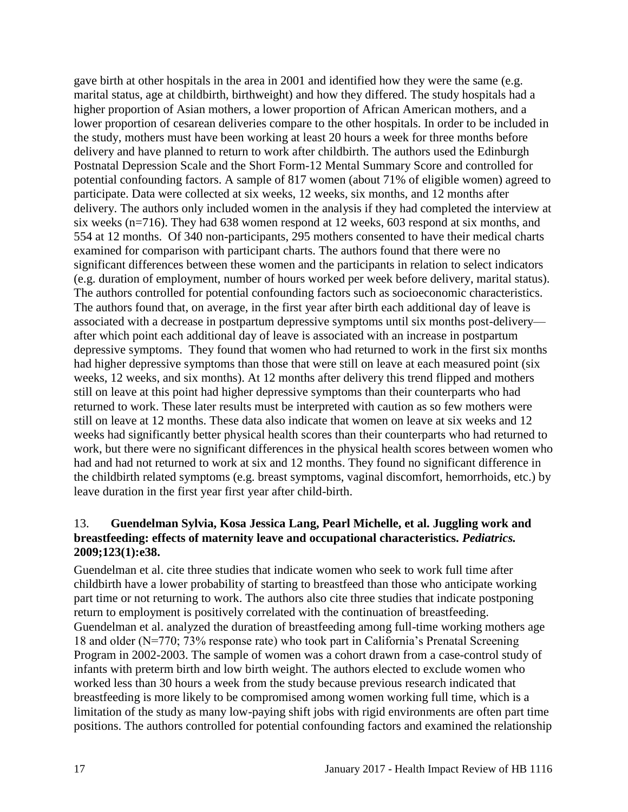gave birth at other hospitals in the area in 2001 and identified how they were the same (e.g. marital status, age at childbirth, birthweight) and how they differed. The study hospitals had a higher proportion of Asian mothers, a lower proportion of African American mothers, and a lower proportion of cesarean deliveries compare to the other hospitals. In order to be included in the study, mothers must have been working at least 20 hours a week for three months before delivery and have planned to return to work after childbirth. The authors used the Edinburgh Postnatal Depression Scale and the Short Form-12 Mental Summary Score and controlled for potential confounding factors. A sample of 817 women (about 71% of eligible women) agreed to participate. Data were collected at six weeks, 12 weeks, six months, and 12 months after delivery. The authors only included women in the analysis if they had completed the interview at six weeks (n=716). They had 638 women respond at 12 weeks, 603 respond at six months, and 554 at 12 months. Of 340 non-participants, 295 mothers consented to have their medical charts examined for comparison with participant charts. The authors found that there were no significant differences between these women and the participants in relation to select indicators (e.g. duration of employment, number of hours worked per week before delivery, marital status). The authors controlled for potential confounding factors such as socioeconomic characteristics. The authors found that, on average, in the first year after birth each additional day of leave is associated with a decrease in postpartum depressive symptoms until six months post-delivery after which point each additional day of leave is associated with an increase in postpartum depressive symptoms. They found that women who had returned to work in the first six months had higher depressive symptoms than those that were still on leave at each measured point (six weeks, 12 weeks, and six months). At 12 months after delivery this trend flipped and mothers still on leave at this point had higher depressive symptoms than their counterparts who had returned to work. These later results must be interpreted with caution as so few mothers were still on leave at 12 months. These data also indicate that women on leave at six weeks and 12 weeks had significantly better physical health scores than their counterparts who had returned to work, but there were no significant differences in the physical health scores between women who had and had not returned to work at six and 12 months. They found no significant difference in the childbirth related symptoms (e.g. breast symptoms, vaginal discomfort, hemorrhoids, etc.) by leave duration in the first year first year after child-birth.

#### <span id="page-18-0"></span>13. **Guendelman Sylvia, Kosa Jessica Lang, Pearl Michelle, et al. Juggling work and breastfeeding: effects of maternity leave and occupational characteristics.** *Pediatrics.*  **2009;123(1):e38.**

Guendelman et al. cite three studies that indicate women who seek to work full time after childbirth have a lower probability of starting to breastfeed than those who anticipate working part time or not returning to work. The authors also cite three studies that indicate postponing return to employment is positively correlated with the continuation of breastfeeding. Guendelman et al. analyzed the duration of breastfeeding among full-time working mothers age 18 and older (N=770; 73% response rate) who took part in California's Prenatal Screening Program in 2002-2003. The sample of women was a cohort drawn from a case-control study of infants with preterm birth and low birth weight. The authors elected to exclude women who worked less than 30 hours a week from the study because previous research indicated that breastfeeding is more likely to be compromised among women working full time, which is a limitation of the study as many low-paying shift jobs with rigid environments are often part time positions. The authors controlled for potential confounding factors and examined the relationship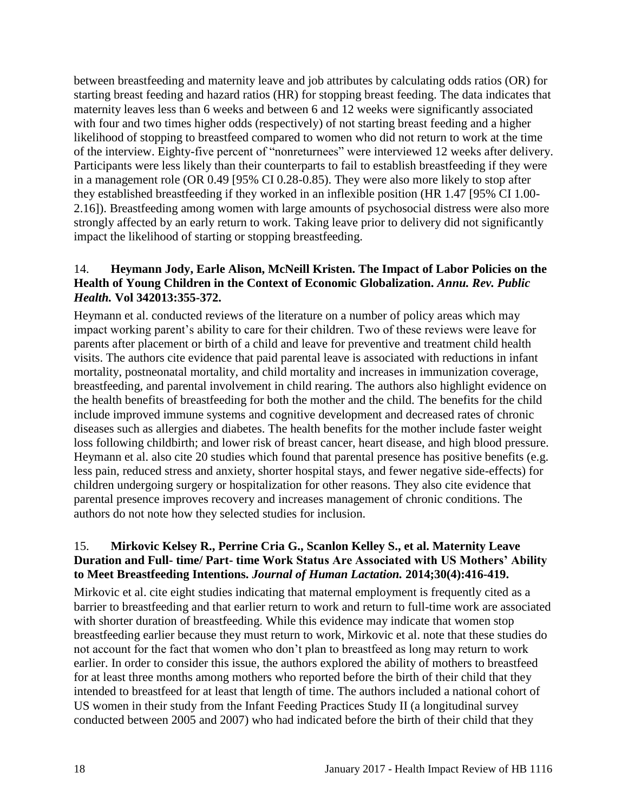between breastfeeding and maternity leave and job attributes by calculating odds ratios (OR) for starting breast feeding and hazard ratios (HR) for stopping breast feeding. The data indicates that maternity leaves less than 6 weeks and between 6 and 12 weeks were significantly associated with four and two times higher odds (respectively) of not starting breast feeding and a higher likelihood of stopping to breastfeed compared to women who did not return to work at the time of the interview. Eighty-five percent of "nonreturnees" were interviewed 12 weeks after delivery. Participants were less likely than their counterparts to fail to establish breastfeeding if they were in a management role (OR 0.49 [95% CI 0.28-0.85). They were also more likely to stop after they established breastfeeding if they worked in an inflexible position (HR 1.47 [95% CI 1.00- 2.16]). Breastfeeding among women with large amounts of psychosocial distress were also more strongly affected by an early return to work. Taking leave prior to delivery did not significantly impact the likelihood of starting or stopping breastfeeding.

#### <span id="page-19-0"></span>14. **Heymann Jody, Earle Alison, McNeill Kristen. The Impact of Labor Policies on the Health of Young Children in the Context of Economic Globalization.** *Annu. Rev. Public Health.* **Vol 342013:355-372.**

Heymann et al. conducted reviews of the literature on a number of policy areas which may impact working parent's ability to care for their children. Two of these reviews were leave for parents after placement or birth of a child and leave for preventive and treatment child health visits. The authors cite evidence that paid parental leave is associated with reductions in infant mortality, postneonatal mortality, and child mortality and increases in immunization coverage, breastfeeding, and parental involvement in child rearing. The authors also highlight evidence on the health benefits of breastfeeding for both the mother and the child. The benefits for the child include improved immune systems and cognitive development and decreased rates of chronic diseases such as allergies and diabetes. The health benefits for the mother include faster weight loss following childbirth; and lower risk of breast cancer, heart disease, and high blood pressure. Heymann et al. also cite 20 studies which found that parental presence has positive benefits (e.g. less pain, reduced stress and anxiety, shorter hospital stays, and fewer negative side-effects) for children undergoing surgery or hospitalization for other reasons. They also cite evidence that parental presence improves recovery and increases management of chronic conditions. The authors do not note how they selected studies for inclusion.

## 15. **Mirkovic Kelsey R., Perrine Cria G., Scanlon Kelley S., et al. Maternity Leave Duration and Full- time/ Part- time Work Status Are Associated with US Mothers' Ability to Meet Breastfeeding Intentions.** *Journal of Human Lactation.* **2014;30(4):416-419.**

Mirkovic et al. cite eight studies indicating that maternal employment is frequently cited as a barrier to breastfeeding and that earlier return to work and return to full-time work are associated with shorter duration of breastfeeding. While this evidence may indicate that women stop breastfeeding earlier because they must return to work, Mirkovic et al. note that these studies do not account for the fact that women who don't plan to breastfeed as long may return to work earlier. In order to consider this issue, the authors explored the ability of mothers to breastfeed for at least three months among mothers who reported before the birth of their child that they intended to breastfeed for at least that length of time. The authors included a national cohort of US women in their study from the Infant Feeding Practices Study II (a longitudinal survey conducted between 2005 and 2007) who had indicated before the birth of their child that they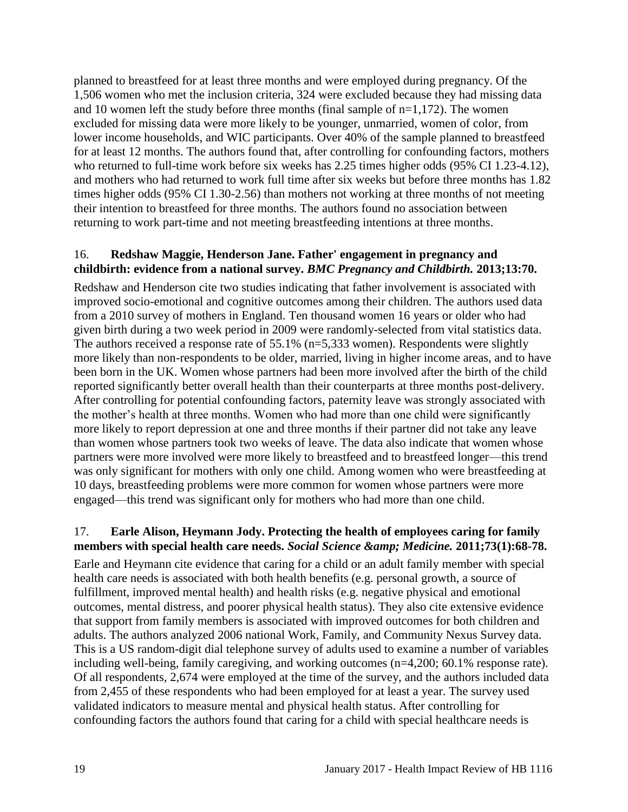planned to breastfeed for at least three months and were employed during pregnancy. Of the 1,506 women who met the inclusion criteria, 324 were excluded because they had missing data and 10 women left the study before three months (final sample of  $n=1,172$ ). The women excluded for missing data were more likely to be younger, unmarried, women of color, from lower income households, and WIC participants. Over 40% of the sample planned to breastfeed for at least 12 months. The authors found that, after controlling for confounding factors, mothers who returned to full-time work before six weeks has 2.25 times higher odds (95% CI 1.23-4.12), and mothers who had returned to work full time after six weeks but before three months has 1.82 times higher odds (95% CI 1.30-2.56) than mothers not working at three months of not meeting their intention to breastfeed for three months. The authors found no association between returning to work part-time and not meeting breastfeeding intentions at three months.

#### <span id="page-20-1"></span>16. **Redshaw Maggie, Henderson Jane. Father' engagement in pregnancy and childbirth: evidence from a national survey.** *BMC Pregnancy and Childbirth.* **2013;13:70.**

Redshaw and Henderson cite two studies indicating that father involvement is associated with improved socio-emotional and cognitive outcomes among their children. The authors used data from a 2010 survey of mothers in England. Ten thousand women 16 years or older who had given birth during a two week period in 2009 were randomly-selected from vital statistics data. The authors received a response rate of 55.1% (n=5,333 women). Respondents were slightly more likely than non-respondents to be older, married, living in higher income areas, and to have been born in the UK. Women whose partners had been more involved after the birth of the child reported significantly better overall health than their counterparts at three months post-delivery. After controlling for potential confounding factors, paternity leave was strongly associated with the mother's health at three months. Women who had more than one child were significantly more likely to report depression at one and three months if their partner did not take any leave than women whose partners took two weeks of leave. The data also indicate that women whose partners were more involved were more likely to breastfeed and to breastfeed longer—this trend was only significant for mothers with only one child. Among women who were breastfeeding at 10 days, breastfeeding problems were more common for women whose partners were more engaged—this trend was significant only for mothers who had more than one child.

## <span id="page-20-0"></span>17. **Earle Alison, Heymann Jody. Protecting the health of employees caring for family**  members with special health care needs. *Social Science & amp*; *Medicine.* 2011;73(1):68-78.

Earle and Heymann cite evidence that caring for a child or an adult family member with special health care needs is associated with both health benefits (e.g. personal growth, a source of fulfillment, improved mental health) and health risks (e.g. negative physical and emotional outcomes, mental distress, and poorer physical health status). They also cite extensive evidence that support from family members is associated with improved outcomes for both children and adults. The authors analyzed 2006 national Work, Family, and Community Nexus Survey data. This is a US random-digit dial telephone survey of adults used to examine a number of variables including well-being, family caregiving, and working outcomes (n=4,200; 60.1% response rate). Of all respondents, 2,674 were employed at the time of the survey, and the authors included data from 2,455 of these respondents who had been employed for at least a year. The survey used validated indicators to measure mental and physical health status. After controlling for confounding factors the authors found that caring for a child with special healthcare needs is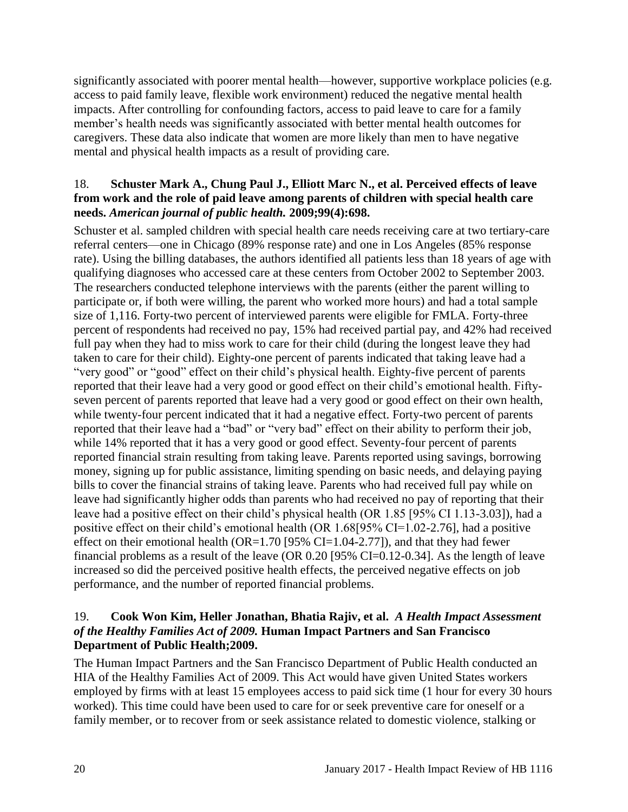significantly associated with poorer mental health—however, supportive workplace policies (e.g. access to paid family leave, flexible work environment) reduced the negative mental health impacts. After controlling for confounding factors, access to paid leave to care for a family member's health needs was significantly associated with better mental health outcomes for caregivers. These data also indicate that women are more likely than men to have negative mental and physical health impacts as a result of providing care.

#### <span id="page-21-0"></span>18. **Schuster Mark A., Chung Paul J., Elliott Marc N., et al. Perceived effects of leave from work and the role of paid leave among parents of children with special health care needs.** *American journal of public health.* **2009;99(4):698.**

Schuster et al. sampled children with special health care needs receiving care at two tertiary-care referral centers—one in Chicago (89% response rate) and one in Los Angeles (85% response rate). Using the billing databases, the authors identified all patients less than 18 years of age with qualifying diagnoses who accessed care at these centers from October 2002 to September 2003. The researchers conducted telephone interviews with the parents (either the parent willing to participate or, if both were willing, the parent who worked more hours) and had a total sample size of 1,116. Forty-two percent of interviewed parents were eligible for FMLA. Forty-three percent of respondents had received no pay, 15% had received partial pay, and 42% had received full pay when they had to miss work to care for their child (during the longest leave they had taken to care for their child). Eighty-one percent of parents indicated that taking leave had a "very good" or "good" effect on their child's physical health. Eighty-five percent of parents reported that their leave had a very good or good effect on their child's emotional health. Fiftyseven percent of parents reported that leave had a very good or good effect on their own health, while twenty-four percent indicated that it had a negative effect. Forty-two percent of parents reported that their leave had a "bad" or "very bad" effect on their ability to perform their job, while 14% reported that it has a very good or good effect. Seventy-four percent of parents reported financial strain resulting from taking leave. Parents reported using savings, borrowing money, signing up for public assistance, limiting spending on basic needs, and delaying paying bills to cover the financial strains of taking leave. Parents who had received full pay while on leave had significantly higher odds than parents who had received no pay of reporting that their leave had a positive effect on their child's physical health (OR 1.85 [95% CI 1.13-3.03]), had a positive effect on their child's emotional health (OR 1.68[95% CI=1.02-2.76], had a positive effect on their emotional health (OR=1.70 [95% CI=1.04-2.77]), and that they had fewer financial problems as a result of the leave (OR 0.20 [95% CI=0.12-0.34]. As the length of leave increased so did the perceived positive health effects, the perceived negative effects on job performance, and the number of reported financial problems.

## <span id="page-21-1"></span>19. **Cook Won Kim, Heller Jonathan, Bhatia Rajiv, et al.** *A Health Impact Assessment of the Healthy Families Act of 2009.* **Human Impact Partners and San Francisco Department of Public Health;2009.**

The Human Impact Partners and the San Francisco Department of Public Health conducted an HIA of the Healthy Families Act of 2009. This Act would have given United States workers employed by firms with at least 15 employees access to paid sick time (1 hour for every 30 hours worked). This time could have been used to care for or seek preventive care for oneself or a family member, or to recover from or seek assistance related to domestic violence, stalking or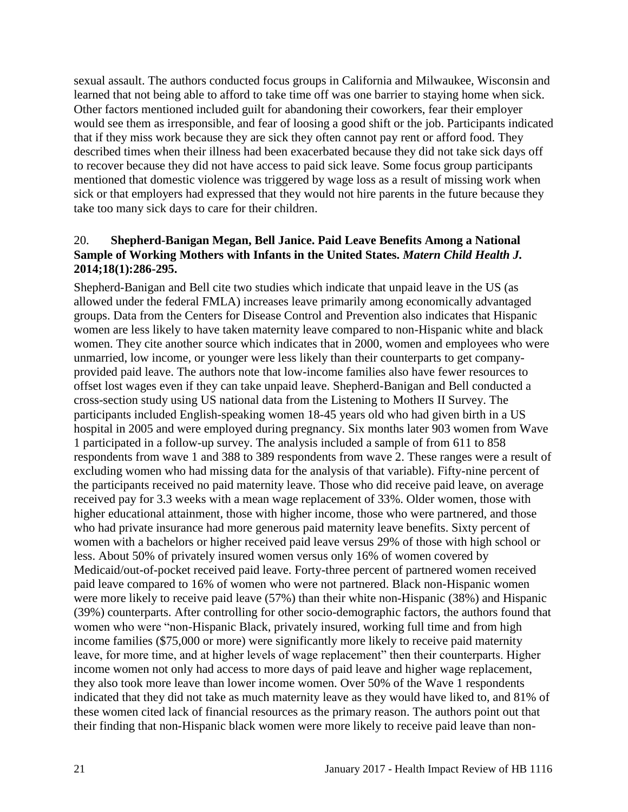sexual assault. The authors conducted focus groups in California and Milwaukee, Wisconsin and learned that not being able to afford to take time off was one barrier to staying home when sick. Other factors mentioned included guilt for abandoning their coworkers, fear their employer would see them as irresponsible, and fear of loosing a good shift or the job. Participants indicated that if they miss work because they are sick they often cannot pay rent or afford food. They described times when their illness had been exacerbated because they did not take sick days off to recover because they did not have access to paid sick leave. Some focus group participants mentioned that domestic violence was triggered by wage loss as a result of missing work when sick or that employers had expressed that they would not hire parents in the future because they take too many sick days to care for their children.

#### <span id="page-22-0"></span>20. **Shepherd-Banigan Megan, Bell Janice. Paid Leave Benefits Among a National Sample of Working Mothers with Infants in the United States.** *Matern Child Health J.*  **2014;18(1):286-295.**

Shepherd-Banigan and Bell cite two studies which indicate that unpaid leave in the US (as allowed under the federal FMLA) increases leave primarily among economically advantaged groups. Data from the Centers for Disease Control and Prevention also indicates that Hispanic women are less likely to have taken maternity leave compared to non-Hispanic white and black women. They cite another source which indicates that in 2000, women and employees who were unmarried, low income, or younger were less likely than their counterparts to get companyprovided paid leave. The authors note that low-income families also have fewer resources to offset lost wages even if they can take unpaid leave. Shepherd-Banigan and Bell conducted a cross-section study using US national data from the Listening to Mothers II Survey. The participants included English-speaking women 18-45 years old who had given birth in a US hospital in 2005 and were employed during pregnancy. Six months later 903 women from Wave 1 participated in a follow-up survey. The analysis included a sample of from 611 to 858 respondents from wave 1 and 388 to 389 respondents from wave 2. These ranges were a result of excluding women who had missing data for the analysis of that variable). Fifty-nine percent of the participants received no paid maternity leave. Those who did receive paid leave, on average received pay for 3.3 weeks with a mean wage replacement of 33%. Older women, those with higher educational attainment, those with higher income, those who were partnered, and those who had private insurance had more generous paid maternity leave benefits. Sixty percent of women with a bachelors or higher received paid leave versus 29% of those with high school or less. About 50% of privately insured women versus only 16% of women covered by Medicaid/out-of-pocket received paid leave. Forty-three percent of partnered women received paid leave compared to 16% of women who were not partnered. Black non-Hispanic women were more likely to receive paid leave (57%) than their white non-Hispanic (38%) and Hispanic (39%) counterparts. After controlling for other socio-demographic factors, the authors found that women who were "non-Hispanic Black, privately insured, working full time and from high income families (\$75,000 or more) were significantly more likely to receive paid maternity leave, for more time, and at higher levels of wage replacement" then their counterparts. Higher income women not only had access to more days of paid leave and higher wage replacement, they also took more leave than lower income women. Over 50% of the Wave 1 respondents indicated that they did not take as much maternity leave as they would have liked to, and 81% of these women cited lack of financial resources as the primary reason. The authors point out that their finding that non-Hispanic black women were more likely to receive paid leave than non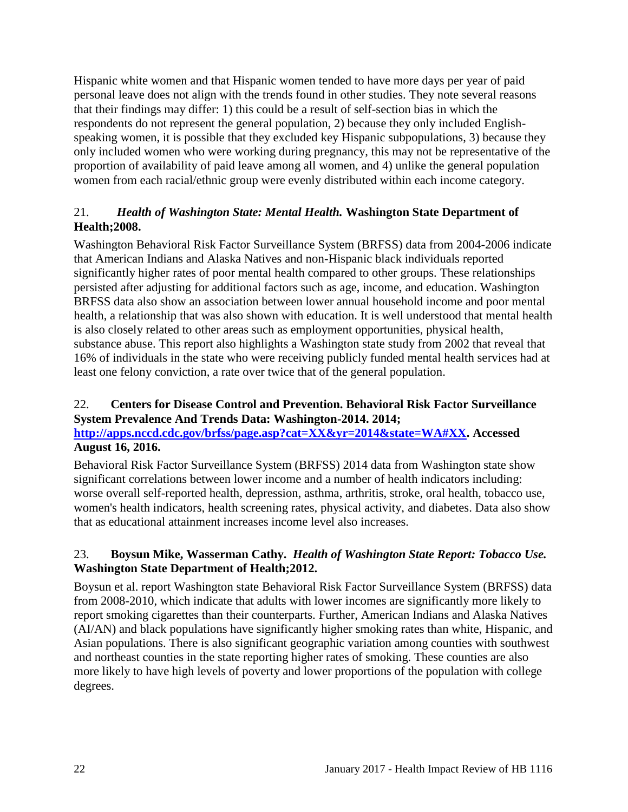Hispanic white women and that Hispanic women tended to have more days per year of paid personal leave does not align with the trends found in other studies. They note several reasons that their findings may differ: 1) this could be a result of self-section bias in which the respondents do not represent the general population, 2) because they only included Englishspeaking women, it is possible that they excluded key Hispanic subpopulations, 3) because they only included women who were working during pregnancy, this may not be representative of the proportion of availability of paid leave among all women, and 4) unlike the general population women from each racial/ethnic group were evenly distributed within each income category.

## <span id="page-23-0"></span>21.*Health of Washington State: Mental Health.* **Washington State Department of Health;2008.**

Washington Behavioral Risk Factor Surveillance System (BRFSS) data from 2004-2006 indicate that American Indians and Alaska Natives and non-Hispanic black individuals reported significantly higher rates of poor mental health compared to other groups. These relationships persisted after adjusting for additional factors such as age, income, and education. Washington BRFSS data also show an association between lower annual household income and poor mental health, a relationship that was also shown with education. It is well understood that mental health is also closely related to other areas such as employment opportunities, physical health, substance abuse. This report also highlights a Washington state study from 2002 that reveal that 16% of individuals in the state who were receiving publicly funded mental health services had at least one felony conviction, a rate over twice that of the general population.

## <span id="page-23-1"></span>22. **Centers for Disease Control and Prevention. Behavioral Risk Factor Surveillance System Prevalence And Trends Data: Washington-2014. 2014;**

## **[http://apps.nccd.cdc.gov/brfss/page.asp?cat=XX&yr=2014&state=WA#XX.](http://apps.nccd.cdc.gov/brfss/page.asp?cat=XX&yr=2014&state=WA#XX) Accessed August 16, 2016.**

Behavioral Risk Factor Surveillance System (BRFSS) 2014 data from Washington state show significant correlations between lower income and a number of health indicators including: worse overall self-reported health, depression, asthma, arthritis, stroke, oral health, tobacco use, women's health indicators, health screening rates, physical activity, and diabetes. Data also show that as educational attainment increases income level also increases.

## <span id="page-23-2"></span>23. **Boysun Mike, Wasserman Cathy.** *Health of Washington State Report: Tobacco Use.* **Washington State Department of Health;2012.**

Boysun et al. report Washington state Behavioral Risk Factor Surveillance System (BRFSS) data from 2008-2010, which indicate that adults with lower incomes are significantly more likely to report smoking cigarettes than their counterparts. Further, American Indians and Alaska Natives (AI/AN) and black populations have significantly higher smoking rates than white, Hispanic, and Asian populations. There is also significant geographic variation among counties with southwest and northeast counties in the state reporting higher rates of smoking. These counties are also more likely to have high levels of poverty and lower proportions of the population with college degrees.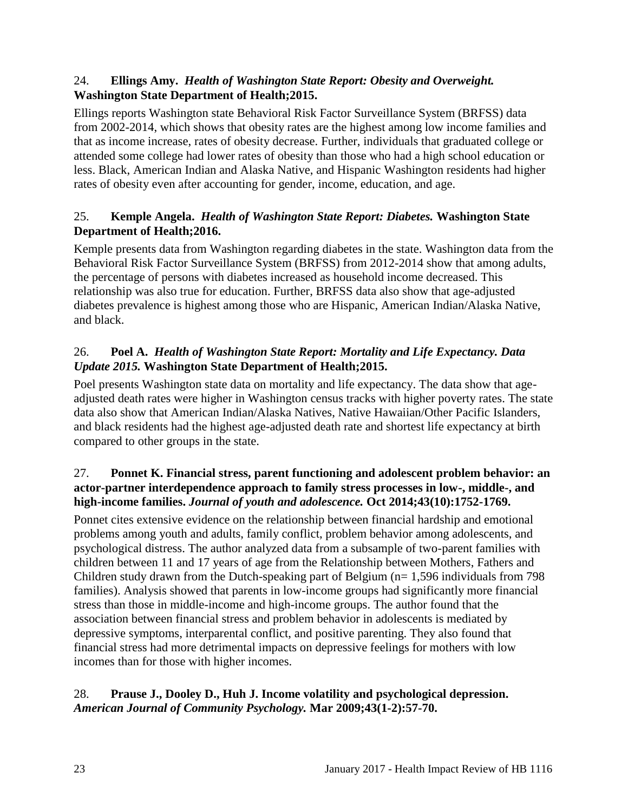## 24. **Ellings Amy.** *Health of Washington State Report: Obesity and Overweight.* **Washington State Department of Health;2015.**

Ellings reports Washington state Behavioral Risk Factor Surveillance System (BRFSS) data from 2002-2014, which shows that obesity rates are the highest among low income families and that as income increase, rates of obesity decrease. Further, individuals that graduated college or attended some college had lower rates of obesity than those who had a high school education or less. Black, American Indian and Alaska Native, and Hispanic Washington residents had higher rates of obesity even after accounting for gender, income, education, and age.

## 25. **Kemple Angela.** *Health of Washington State Report: Diabetes.* **Washington State Department of Health;2016.**

Kemple presents data from Washington regarding diabetes in the state. Washington data from the Behavioral Risk Factor Surveillance System (BRFSS) from 2012-2014 show that among adults, the percentage of persons with diabetes increased as household income decreased. This relationship was also true for education. Further, BRFSS data also show that age-adjusted diabetes prevalence is highest among those who are Hispanic, American Indian/Alaska Native, and black.

## <span id="page-24-2"></span>26. **Poel A.** *Health of Washington State Report: Mortality and Life Expectancy. Data Update 2015.* **Washington State Department of Health;2015.**

Poel presents Washington state data on mortality and life expectancy. The data show that ageadjusted death rates were higher in Washington census tracks with higher poverty rates. The state data also show that American Indian/Alaska Natives, Native Hawaiian/Other Pacific Islanders, and black residents had the highest age-adjusted death rate and shortest life expectancy at birth compared to other groups in the state.

## <span id="page-24-0"></span>27. **Ponnet K. Financial stress, parent functioning and adolescent problem behavior: an actor-partner interdependence approach to family stress processes in low-, middle-, and high-income families.** *Journal of youth and adolescence.* **Oct 2014;43(10):1752-1769.**

Ponnet cites extensive evidence on the relationship between financial hardship and emotional problems among youth and adults, family conflict, problem behavior among adolescents, and psychological distress. The author analyzed data from a subsample of two-parent families with children between 11 and 17 years of age from the Relationship between Mothers, Fathers and Children study drawn from the Dutch-speaking part of Belgium ( $n= 1,596$  individuals from 798 families). Analysis showed that parents in low-income groups had significantly more financial stress than those in middle-income and high-income groups. The author found that the association between financial stress and problem behavior in adolescents is mediated by depressive symptoms, interparental conflict, and positive parenting. They also found that financial stress had more detrimental impacts on depressive feelings for mothers with low incomes than for those with higher incomes.

## <span id="page-24-1"></span>28. **Prause J., Dooley D., Huh J. Income volatility and psychological depression.**  *American Journal of Community Psychology.* **Mar 2009;43(1-2):57-70.**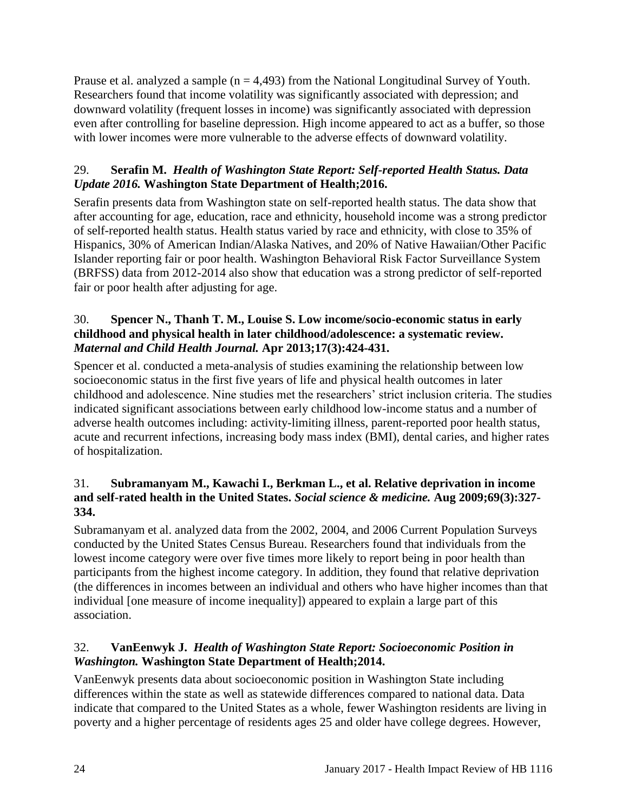Prause et al. analyzed a sample ( $n = 4,493$ ) from the National Longitudinal Survey of Youth. Researchers found that income volatility was significantly associated with depression; and downward volatility (frequent losses in income) was significantly associated with depression even after controlling for baseline depression. High income appeared to act as a buffer, so those with lower incomes were more vulnerable to the adverse effects of downward volatility.

## <span id="page-25-3"></span>29. **Serafin M.** *Health of Washington State Report: Self-reported Health Status. Data Update 2016.* **Washington State Department of Health;2016.**

Serafin presents data from Washington state on self-reported health status. The data show that after accounting for age, education, race and ethnicity, household income was a strong predictor of self-reported health status. Health status varied by race and ethnicity, with close to 35% of Hispanics, 30% of American Indian/Alaska Natives, and 20% of Native Hawaiian/Other Pacific Islander reporting fair or poor health. Washington Behavioral Risk Factor Surveillance System (BRFSS) data from 2012-2014 also show that education was a strong predictor of self-reported fair or poor health after adjusting for age.

## <span id="page-25-0"></span>30. **Spencer N., Thanh T. M., Louise S. Low income/socio-economic status in early childhood and physical health in later childhood/adolescence: a systematic review.**  *Maternal and Child Health Journal.* **Apr 2013;17(3):424-431.**

Spencer et al. conducted a meta-analysis of studies examining the relationship between low socioeconomic status in the first five years of life and physical health outcomes in later childhood and adolescence. Nine studies met the researchers' strict inclusion criteria. The studies indicated significant associations between early childhood low-income status and a number of adverse health outcomes including: activity-limiting illness, parent-reported poor health status, acute and recurrent infections, increasing body mass index (BMI), dental caries, and higher rates of hospitalization.

## <span id="page-25-1"></span>31. **Subramanyam M., Kawachi I., Berkman L., et al. Relative deprivation in income and self-rated health in the United States.** *Social science & medicine.* **Aug 2009;69(3):327- 334.**

Subramanyam et al. analyzed data from the 2002, 2004, and 2006 Current Population Surveys conducted by the United States Census Bureau. Researchers found that individuals from the lowest income category were over five times more likely to report being in poor health than participants from the highest income category. In addition, they found that relative deprivation (the differences in incomes between an individual and others who have higher incomes than that individual [one measure of income inequality]) appeared to explain a large part of this association.

## <span id="page-25-2"></span>32. **VanEenwyk J.** *Health of Washington State Report: Socioeconomic Position in Washington.* **Washington State Department of Health;2014.**

VanEenwyk presents data about socioeconomic position in Washington State including differences within the state as well as statewide differences compared to national data. Data indicate that compared to the United States as a whole, fewer Washington residents are living in poverty and a higher percentage of residents ages 25 and older have college degrees. However,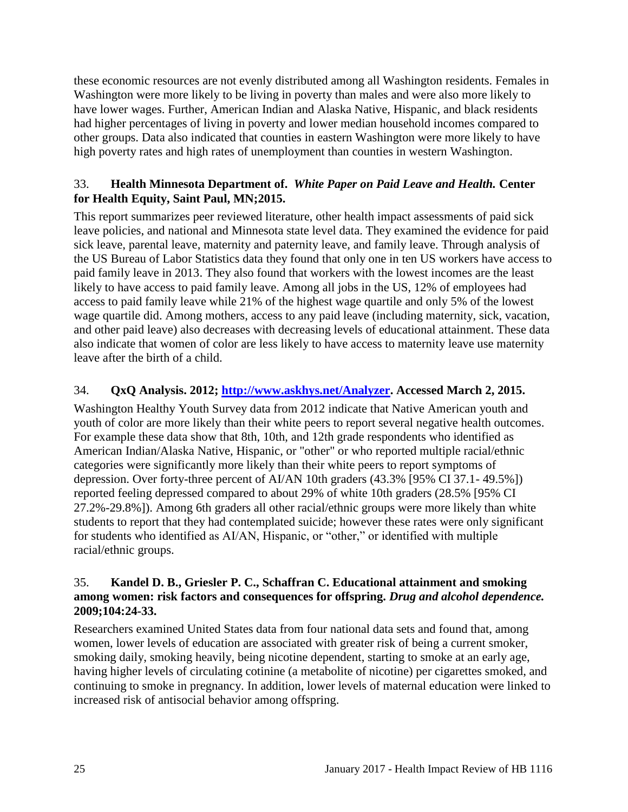these economic resources are not evenly distributed among all Washington residents. Females in Washington were more likely to be living in poverty than males and were also more likely to have lower wages. Further, American Indian and Alaska Native, Hispanic, and black residents had higher percentages of living in poverty and lower median household incomes compared to other groups. Data also indicated that counties in eastern Washington were more likely to have high poverty rates and high rates of unemployment than counties in western Washington.

#### <span id="page-26-0"></span>33. **Health Minnesota Department of.** *White Paper on Paid Leave and Health.* **Center for Health Equity, Saint Paul, MN;2015.**

This report summarizes peer reviewed literature, other health impact assessments of paid sick leave policies, and national and Minnesota state level data. They examined the evidence for paid sick leave, parental leave, maternity and paternity leave, and family leave. Through analysis of the US Bureau of Labor Statistics data they found that only one in ten US workers have access to paid family leave in 2013. They also found that workers with the lowest incomes are the least likely to have access to paid family leave. Among all jobs in the US, 12% of employees had access to paid family leave while 21% of the highest wage quartile and only 5% of the lowest wage quartile did. Among mothers, access to any paid leave (including maternity, sick, vacation, and other paid leave) also decreases with decreasing levels of educational attainment. These data also indicate that women of color are less likely to have access to maternity leave use maternity leave after the birth of a child.

## <span id="page-26-1"></span>34. **QxQ Analysis. 2012; [http://www.askhys.net/Analyzer.](http://www.askhys.net/Analyzer) Accessed March 2, 2015.**

Washington Healthy Youth Survey data from 2012 indicate that Native American youth and youth of color are more likely than their white peers to report several negative health outcomes. For example these data show that 8th, 10th, and 12th grade respondents who identified as American Indian/Alaska Native, Hispanic, or "other" or who reported multiple racial/ethnic categories were significantly more likely than their white peers to report symptoms of depression. Over forty-three percent of AI/AN 10th graders (43.3% [95% CI 37.1- 49.5%]) reported feeling depressed compared to about 29% of white 10th graders (28.5% [95% CI 27.2%-29.8%]). Among 6th graders all other racial/ethnic groups were more likely than white students to report that they had contemplated suicide; however these rates were only significant for students who identified as AI/AN, Hispanic, or "other," or identified with multiple racial/ethnic groups.

#### 35. **Kandel D. B., Griesler P. C., Schaffran C. Educational attainment and smoking among women: risk factors and consequences for offspring.** *Drug and alcohol dependence.* **2009;104:24-33.**

Researchers examined United States data from four national data sets and found that, among women, lower levels of education are associated with greater risk of being a current smoker, smoking daily, smoking heavily, being nicotine dependent, starting to smoke at an early age, having higher levels of circulating cotinine (a metabolite of nicotine) per cigarettes smoked, and continuing to smoke in pregnancy. In addition, lower levels of maternal education were linked to increased risk of antisocial behavior among offspring.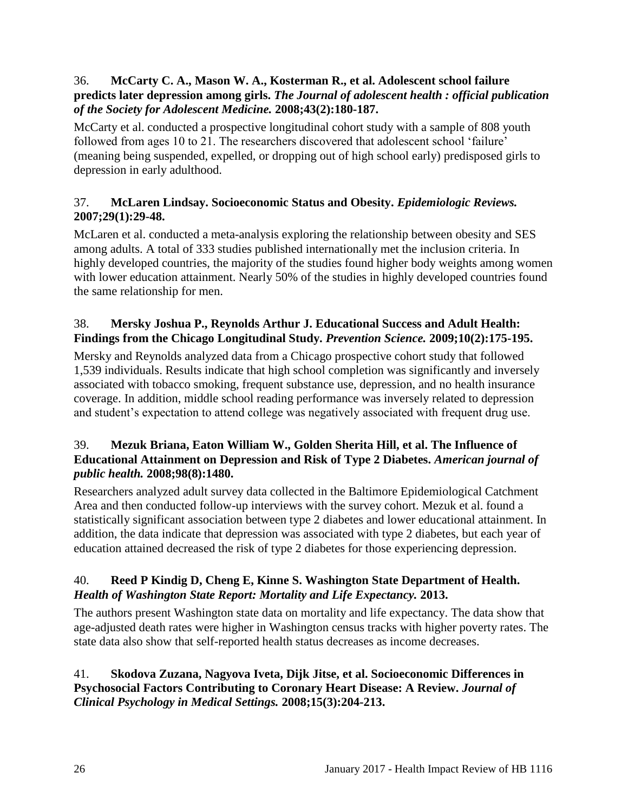#### 36. **McCarty C. A., Mason W. A., Kosterman R., et al. Adolescent school failure predicts later depression among girls.** *The Journal of adolescent health : official publication of the Society for Adolescent Medicine.* **2008;43(2):180-187.**

McCarty et al. conducted a prospective longitudinal cohort study with a sample of 808 youth followed from ages 10 to 21. The researchers discovered that adolescent school 'failure' (meaning being suspended, expelled, or dropping out of high school early) predisposed girls to depression in early adulthood.

## 37. **McLaren Lindsay. Socioeconomic Status and Obesity.** *Epidemiologic Reviews.*  **2007;29(1):29-48.**

McLaren et al. conducted a meta-analysis exploring the relationship between obesity and SES among adults. A total of 333 studies published internationally met the inclusion criteria. In highly developed countries, the majority of the studies found higher body weights among women with lower education attainment. Nearly 50% of the studies in highly developed countries found the same relationship for men.

## 38. **Mersky Joshua P., Reynolds Arthur J. Educational Success and Adult Health: Findings from the Chicago Longitudinal Study.** *Prevention Science.* **2009;10(2):175-195.**

Mersky and Reynolds analyzed data from a Chicago prospective cohort study that followed 1,539 individuals. Results indicate that high school completion was significantly and inversely associated with tobacco smoking, frequent substance use, depression, and no health insurance coverage. In addition, middle school reading performance was inversely related to depression and student's expectation to attend college was negatively associated with frequent drug use.

## 39. **Mezuk Briana, Eaton William W., Golden Sherita Hill, et al. The Influence of Educational Attainment on Depression and Risk of Type 2 Diabetes.** *American journal of public health.* **2008;98(8):1480.**

Researchers analyzed adult survey data collected in the Baltimore Epidemiological Catchment Area and then conducted follow-up interviews with the survey cohort. Mezuk et al. found a statistically significant association between type 2 diabetes and lower educational attainment. In addition, the data indicate that depression was associated with type 2 diabetes, but each year of education attained decreased the risk of type 2 diabetes for those experiencing depression.

## 40. **Reed P Kindig D, Cheng E, Kinne S. Washington State Department of Health.**  *Health of Washington State Report: Mortality and Life Expectancy.* **2013.**

The authors present Washington state data on mortality and life expectancy. The data show that age-adjusted death rates were higher in Washington census tracks with higher poverty rates. The state data also show that self-reported health status decreases as income decreases.

## 41. **Skodova Zuzana, Nagyova Iveta, Dijk Jitse, et al. Socioeconomic Differences in Psychosocial Factors Contributing to Coronary Heart Disease: A Review.** *Journal of Clinical Psychology in Medical Settings.* **2008;15(3):204-213.**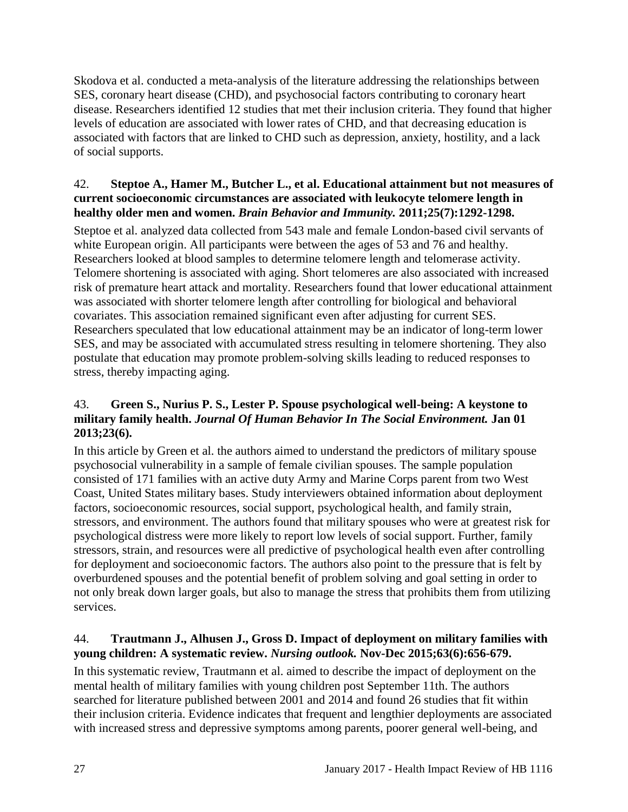Skodova et al. conducted a meta-analysis of the literature addressing the relationships between SES, coronary heart disease (CHD), and psychosocial factors contributing to coronary heart disease. Researchers identified 12 studies that met their inclusion criteria. They found that higher levels of education are associated with lower rates of CHD, and that decreasing education is associated with factors that are linked to CHD such as depression, anxiety, hostility, and a lack of social supports.

#### 42. **Steptoe A., Hamer M., Butcher L., et al. Educational attainment but not measures of current socioeconomic circumstances are associated with leukocyte telomere length in healthy older men and women.** *Brain Behavior and Immunity.* **2011;25(7):1292-1298.**

Steptoe et al. analyzed data collected from 543 male and female London-based civil servants of white European origin. All participants were between the ages of 53 and 76 and healthy. Researchers looked at blood samples to determine telomere length and telomerase activity. Telomere shortening is associated with aging. Short telomeres are also associated with increased risk of premature heart attack and mortality. Researchers found that lower educational attainment was associated with shorter telomere length after controlling for biological and behavioral covariates. This association remained significant even after adjusting for current SES. Researchers speculated that low educational attainment may be an indicator of long-term lower SES, and may be associated with accumulated stress resulting in telomere shortening. They also postulate that education may promote problem-solving skills leading to reduced responses to stress, thereby impacting aging.

## <span id="page-28-0"></span>43. **Green S., Nurius P. S., Lester P. Spouse psychological well-being: A keystone to military family health.** *Journal Of Human Behavior In The Social Environment.* **Jan 01 2013;23(6).**

In this article by Green et al. the authors aimed to understand the predictors of military spouse psychosocial vulnerability in a sample of female civilian spouses. The sample population consisted of 171 families with an active duty Army and Marine Corps parent from two West Coast, United States military bases. Study interviewers obtained information about deployment factors, socioeconomic resources, social support, psychological health, and family strain, stressors, and environment. The authors found that military spouses who were at greatest risk for psychological distress were more likely to report low levels of social support. Further, family stressors, strain, and resources were all predictive of psychological health even after controlling for deployment and socioeconomic factors. The authors also point to the pressure that is felt by overburdened spouses and the potential benefit of problem solving and goal setting in order to not only break down larger goals, but also to manage the stress that prohibits them from utilizing services.

## <span id="page-28-1"></span>44. **Trautmann J., Alhusen J., Gross D. Impact of deployment on military families with young children: A systematic review.** *Nursing outlook.* **Nov-Dec 2015;63(6):656-679.**

In this systematic review, Trautmann et al. aimed to describe the impact of deployment on the mental health of military families with young children post September 11th. The authors searched for literature published between 2001 and 2014 and found 26 studies that fit within their inclusion criteria. Evidence indicates that frequent and lengthier deployments are associated with increased stress and depressive symptoms among parents, poorer general well-being, and